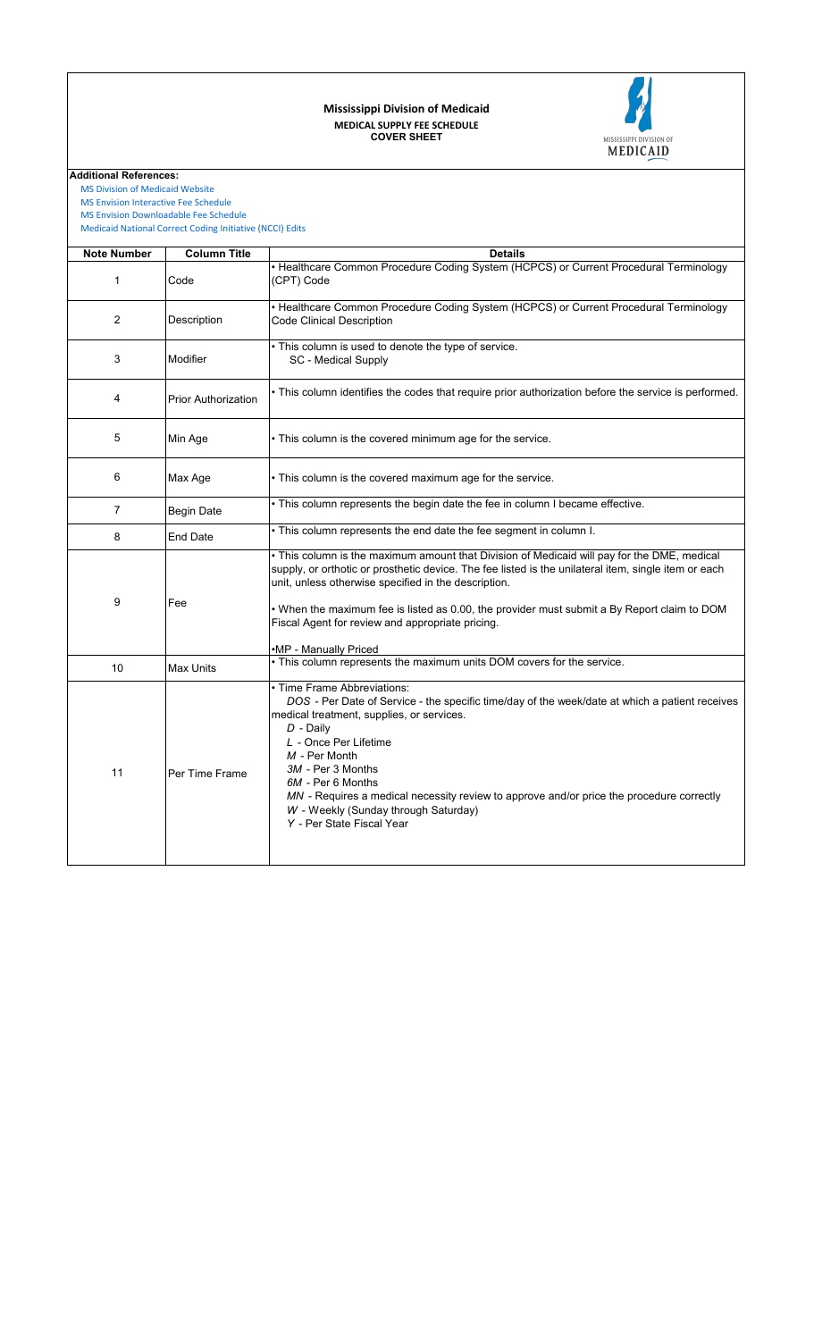## **COVER SHEET MEDICAL SUPPLY FEE SCHEDULE Mississippi Division of Medicaid**



**Additional References:**

 [MS Division of Medic](https://medicaid.ms.gov/)aid Website  [MS Envision Interacti](https://www.ms-medicaid.com/msenvision/feeScheduleInquiry.do)ve Fee Schedule

 [MS Envision Downloa](https://www.ms-medicaid.com/msenvision/AMA_ADA_licenseAgreement.do?strUrl=feeScheduleInquiry)dable Fee Schedule

 [Medicaid National Co](https://www.medicaid.gov/medicaid/program-integrity/national-correct-coding-initiative/medicaid-ncci-edit-files/index.html)rrect Coding Initiative (NCCI) Edits

| <b>Note Number</b> | <b>Column Title</b>        | <b>Details</b>                                                                                                                                                                                                                                                                                                                                                                                                                                 |
|--------------------|----------------------------|------------------------------------------------------------------------------------------------------------------------------------------------------------------------------------------------------------------------------------------------------------------------------------------------------------------------------------------------------------------------------------------------------------------------------------------------|
| 1                  | Code                       | • Healthcare Common Procedure Coding System (HCPCS) or Current Procedural Terminology<br>(CPT) Code                                                                                                                                                                                                                                                                                                                                            |
| $\overline{2}$     | Description                | • Healthcare Common Procedure Coding System (HCPCS) or Current Procedural Terminology<br><b>Code Clinical Description</b>                                                                                                                                                                                                                                                                                                                      |
| 3                  | Modifier                   | . This column is used to denote the type of service.<br>SC - Medical Supply                                                                                                                                                                                                                                                                                                                                                                    |
| 4                  | <b>Prior Authorization</b> | . This column identifies the codes that require prior authorization before the service is performed.                                                                                                                                                                                                                                                                                                                                           |
| 5                  | Min Age                    | . This column is the covered minimum age for the service.                                                                                                                                                                                                                                                                                                                                                                                      |
| 6                  | Max Age                    | . This column is the covered maximum age for the service.                                                                                                                                                                                                                                                                                                                                                                                      |
| $\overline{7}$     | <b>Begin Date</b>          | . This column represents the begin date the fee in column I became effective.                                                                                                                                                                                                                                                                                                                                                                  |
| 8                  | <b>End Date</b>            | . This column represents the end date the fee segment in column I.                                                                                                                                                                                                                                                                                                                                                                             |
| 9                  | Fee                        | . This column is the maximum amount that Division of Medicaid will pay for the DME, medical<br>supply, or orthotic or prosthetic device. The fee listed is the unilateral item, single item or each<br>unit, unless otherwise specified in the description.<br>• When the maximum fee is listed as 0.00, the provider must submit a By Report claim to DOM<br>Fiscal Agent for review and appropriate pricing.<br>•MP - Manually Priced        |
| 10                 | <b>Max Units</b>           | . This column represents the maximum units DOM covers for the service.                                                                                                                                                                                                                                                                                                                                                                         |
| 11                 | Per Time Frame             | · Time Frame Abbreviations:<br>DOS - Per Date of Service - the specific time/day of the week/date at which a patient receives<br>medical treatment, supplies, or services.<br>$D$ - Daily<br>L - Once Per Lifetime<br>M - Per Month<br>3M - Per 3 Months<br>6M - Per 6 Months<br>MN - Requires a medical necessity review to approve and/or price the procedure correctly<br>W - Weekly (Sunday through Saturday)<br>Y - Per State Fiscal Year |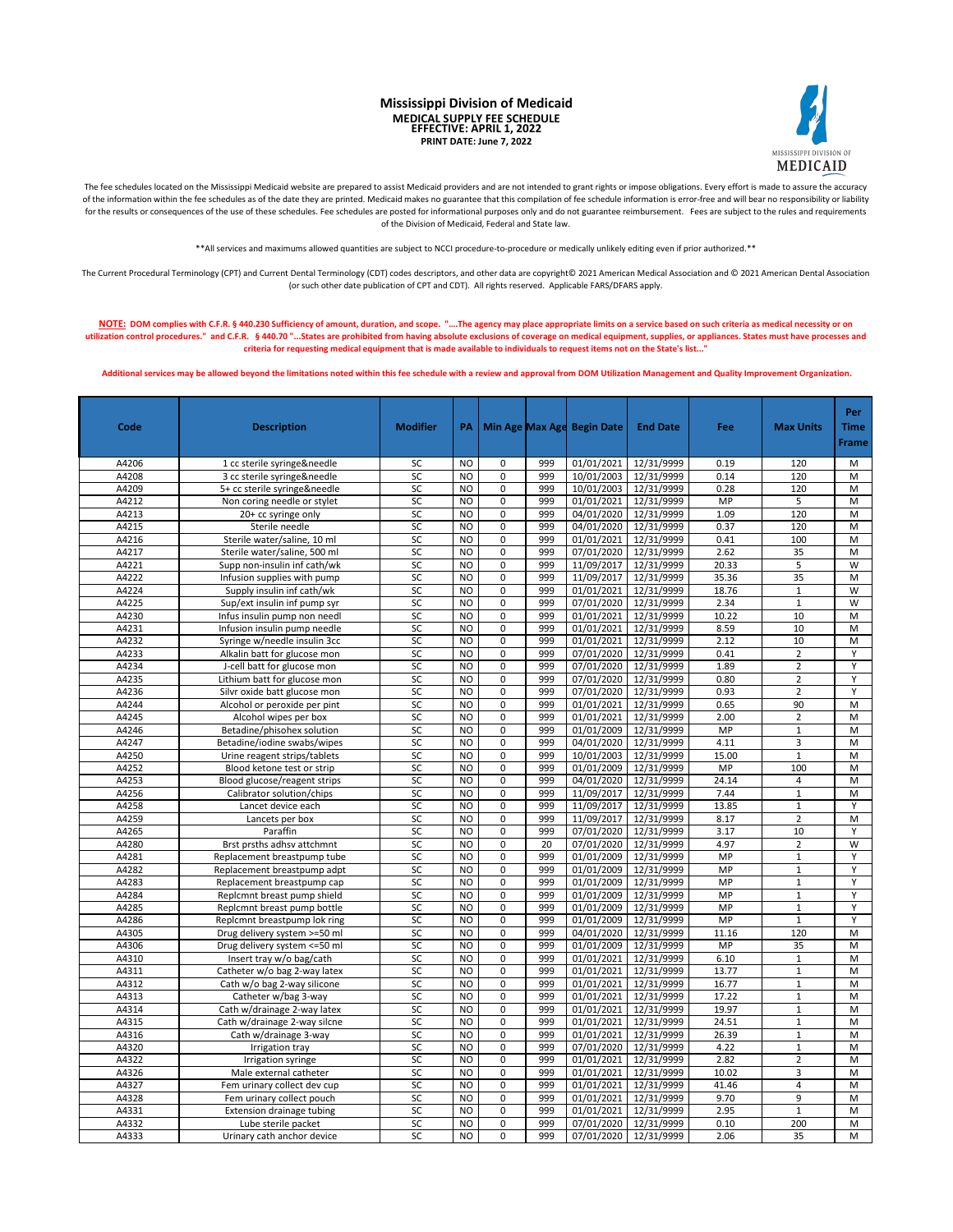**Mississippi Division of Medicaid MEDICAL SUPPLY FEE SCHEDULE EFFECTIVE: APRIL 1, 2022 PRINT DATE: June 7, 2022**



The fee schedules located on the Mississippi Medicaid website are prepared to assist Medicaid providers and are not intended to grant rights or impose obligations. Every effort is made to assure the accuracy of the information within the fee schedules as of the date they are printed. Medicaid makes no guarantee that this compilation of fee schedule information is error-free and will bear no responsibility or liability for the results or consequences of the use of these schedules. Fee schedules are posted for informational purposes only and do not guarantee reimbursement. Fees are subject to the rules and requirements of the Division of Medicaid, Federal and State law.

\*\*All services and maximums allowed quantities are subject to NCCI procedure-to-procedure or medically unlikely editing even if prior authorized.\*\*

The Current Procedural Terminology (CPT) and Current Dental Terminology (CDT) codes descriptors, and other data are copyright© 2021 American Medical Association and © 2021 American Dental Association (or such other date publication of CPT and CDT). All rights reserved. Applicable FARS/DFARS apply.

NOTE: DOM complies with C.F.R. § 440.230 Sufficiency of amount, duration, and scope. "....The agency may place appropriate limits on a service based on such criteria as medical necessity or on **utilization control procedures." and C.F.R. § 440.70 "...States are prohibited from having absolute exclusions of coverage on medical equipment, supplies, or appliances. States must have processes and criteria for requesting medical equipment that is made available to individuals to request items not on the State's list..."**

 **Additional services may be allowed beyond the limitations noted within this fee schedule with a review and approval from DOM Utilization Management and Quality Improvement Organization.** 

| Code  | <b>Description</b>            | <b>Modifier</b> | PA             | Min Age Max Age |     | <b>Begin Date</b> | <b>End Date</b> | Fee       | <b>Max Units</b> | Per<br><b>Time</b><br><b>Frame</b> |
|-------|-------------------------------|-----------------|----------------|-----------------|-----|-------------------|-----------------|-----------|------------------|------------------------------------|
| A4206 | 1 cc sterile syringe&needle   | SC              | N <sub>O</sub> | 0               | 999 | 01/01/2021        | 12/31/9999      | 0.19      | 120              | M                                  |
| A4208 | 3 cc sterile syringe&needle   | SC              | <b>NO</b>      | 0               | 999 | 10/01/2003        | 12/31/9999      | 0.14      | 120              | M                                  |
| A4209 | 5+ cc sterile syringe&needle  | SC              | <b>NO</b>      | 0               | 999 | 10/01/2003        | 12/31/9999      | 0.28      | 120              | M                                  |
| A4212 | Non coring needle or stylet   | SC              | <b>NO</b>      | 0               | 999 | 01/01/2021        | 12/31/9999      | MP        | 5                | M                                  |
| A4213 | 20+ cc syringe only           | SC              | <b>NO</b>      | 0               | 999 | 04/01/2020        | 12/31/9999      | 1.09      | 120              | M                                  |
| A4215 | Sterile needle                | SC              | <b>NO</b>      | $\mathbf 0$     | 999 | 04/01/2020        | 12/31/9999      | 0.37      | 120              | M                                  |
| A4216 | Sterile water/saline, 10 ml   | SC              | N <sub>O</sub> | 0               | 999 | 01/01/2021        | 12/31/9999      | 0.41      | 100              | M                                  |
| A4217 | Sterile water/saline, 500 ml  | SC              | <b>NO</b>      | 0               | 999 | 07/01/2020        | 12/31/9999      | 2.62      | 35               | M                                  |
| A4221 | Supp non-insulin inf cath/wk  | SC              | <b>NO</b>      | 0               | 999 | 11/09/2017        | 12/31/9999      | 20.33     | 5                | W                                  |
| A4222 | Infusion supplies with pump   | SC              | N <sub>O</sub> | 0               | 999 | 11/09/2017        | 12/31/9999      | 35.36     | 35               | M                                  |
| A4224 | Supply insulin inf cath/wk    | SC              | <b>NO</b>      | 0               | 999 | 01/01/2021        | 12/31/9999      | 18.76     | $\mathbf{1}$     | W                                  |
| A4225 | Sup/ext insulin inf pump syr  | SC              | N <sub>O</sub> | 0               | 999 | 07/01/2020        | 12/31/9999      | 2.34      | $\mathbf 1$      | W                                  |
| A4230 | Infus insulin pump non needl  | SC              | N <sub>O</sub> | 0               | 999 | 01/01/2021        | 12/31/9999      | 10.22     | 10               | M                                  |
| A4231 | Infusion insulin pump needle  | SC              | N <sub>O</sub> | $\overline{0}$  | 999 | 01/01/2021        | 12/31/9999      | 8.59      | 10               | M                                  |
| A4232 | Syringe w/needle insulin 3cc  | SC              | NO             | 0               | 999 | 01/01/2021        | 12/31/9999      | 2.12      | 10               | M                                  |
| A4233 | Alkalin batt for glucose mon  | SC              | <b>NO</b>      | 0               | 999 | 07/01/2020        | 12/31/9999      | 0.41      | $\overline{2}$   | Y                                  |
| A4234 | J-cell batt for glucose mon   | SC              | <b>NO</b>      | $\mathsf 0$     | 999 | 07/01/2020        | 12/31/9999      | 1.89      | $\overline{2}$   | Y                                  |
| A4235 | Lithium batt for glucose mon  | SC              | <b>NO</b>      | 0               | 999 | 07/01/2020        | 12/31/9999      | 0.80      | $\overline{2}$   | Y                                  |
| A4236 | Silvr oxide batt glucose mon  | SC              | <b>NO</b>      | $\pmb{0}$       | 999 | 07/01/2020        | 12/31/9999      | 0.93      | $\overline{2}$   | Y                                  |
| A4244 | Alcohol or peroxide per pint  | SC              | N <sub>O</sub> | 0               | 999 | 01/01/2021        | 12/31/9999      | 0.65      | 90               | M                                  |
| A4245 | Alcohol wipes per box         | SC              | N <sub>O</sub> | 0               | 999 | 01/01/2021        | 12/31/9999      | 2.00      | $\overline{2}$   | M                                  |
| A4246 | Betadine/phisohex solution    | SC              | N <sub>O</sub> | 0               | 999 | 01/01/2009        | 12/31/9999      | MP        | $\mathbf 1$      | M                                  |
| A4247 | Betadine/iodine swabs/wipes   | SC              | N <sub>O</sub> | 0               | 999 | 04/01/2020        | 12/31/9999      | 4.11      | 3                | M                                  |
| A4250 | Urine reagent strips/tablets  | SC              | <b>NO</b>      | 0               | 999 | 10/01/2003        | 12/31/9999      | 15.00     | $\mathbf{1}$     | M                                  |
| A4252 | Blood ketone test or strip    | SC              | N <sub>O</sub> | $\overline{0}$  | 999 | 01/01/2009        | 12/31/9999      | <b>MP</b> | 100              | $\overline{M}$                     |
| A4253 | Blood glucose/reagent strips  | SC              | <b>NO</b>      | 0               | 999 | 04/01/2020        | 12/31/9999      | 24.14     | $\overline{4}$   | M                                  |
| A4256 | Calibrator solution/chips     | SC              | <b>NO</b>      | 0               | 999 | 11/09/2017        | 12/31/9999      | 7.44      | $\mathbf{1}$     | M                                  |
| A4258 | Lancet device each            | SC              | <b>NO</b>      | 0               | 999 | 11/09/2017        | 12/31/9999      | 13.85     | $\mathbf{1}$     | Y                                  |
| A4259 | Lancets per box               | SC              | <b>NO</b>      | 0               | 999 | 11/09/2017        | 12/31/9999      | 8.17      | $\overline{2}$   | M                                  |
| A4265 | Paraffin                      | SC              | <b>NO</b>      | $\mathsf 0$     | 999 | 07/01/2020        | 12/31/9999      | 3.17      | 10               | Υ                                  |
| A4280 | Brst prsths adhsv attchmnt    | SC              | <b>NO</b>      | 0               | 20  | 07/01/2020        | 12/31/9999      | 4.97      | $\overline{2}$   | W                                  |
| A4281 | Replacement breastpump tube   | SC              | <b>NO</b>      | 0               | 999 | 01/01/2009        | 12/31/9999      | <b>MP</b> | $\mathbf{1}$     | Y                                  |
| A4282 | Replacement breastpump adpt   | SC              | N <sub>O</sub> | 0               | 999 | 01/01/2009        | 12/31/9999      | MP        | $\mathbf 1$      | Υ                                  |
| A4283 | Replacement breastpump cap    | SC              | N <sub>O</sub> | 0               | 999 | 01/01/2009        | 12/31/9999      | MP        | $\mathbf 1$      | Ϋ                                  |
| A4284 | Replcmnt breast pump shield   | SC              | N <sub>O</sub> | 0               | 999 | 01/01/2009        | 12/31/9999      | MP        | $\mathbf 1$      | Υ                                  |
| A4285 | Replcmnt breast pump bottle   | SC              | N <sub>O</sub> | 0               | 999 | 01/01/2009        | 12/31/9999      | MP        | $\mathbf 1$      | Υ                                  |
| A4286 | Replcmnt breastpump lok ring  | SC              | <b>NO</b>      | 0               | 999 | 01/01/2009        | 12/31/9999      | MP        | $\mathbf 1$      | Υ                                  |
| A4305 | Drug delivery system >=50 ml  | SC              | <b>NO</b>      | $\overline{0}$  | 999 | 04/01/2020        | 12/31/9999      | 11.16     | 120              | M                                  |
| A4306 | Drug delivery system <= 50 ml | SC              | <b>NO</b>      | 0               | 999 | 01/01/2009        | 12/31/9999      | MP        | 35               | M                                  |
| A4310 | Insert tray w/o bag/cath      | SC              | <b>NO</b>      | 0               | 999 | 01/01/2021        | 12/31/9999      | 6.10      | $\mathbf{1}$     | M                                  |
| A4311 | Catheter w/o bag 2-way latex  | SC              | <b>NO</b>      | $\mathbf 0$     | 999 | 01/01/2021        | 12/31/9999      | 13.77     | $\mathbf{1}$     | M                                  |
| A4312 | Cath w/o bag 2-way silicone   | SC              | <b>NO</b>      | 0               | 999 | 01/01/2021        | 12/31/9999      | 16.77     | $\mathbf{1}$     | M                                  |
| A4313 | Catheter w/bag 3-way          | SC              | N <sub>O</sub> | $\mathsf 0$     | 999 | 01/01/2021        | 12/31/9999      | 17.22     | $\mathbf{1}$     | M                                  |
| A4314 | Cath w/drainage 2-way latex   | SC              | <b>NO</b>      | 0               | 999 | 01/01/2021        | 12/31/9999      | 19.97     | $\mathbf{1}$     | M                                  |
| A4315 | Cath w/drainage 2-way silcne  | SC              | <b>NO</b>      | $\mathbf 0$     | 999 | 01/01/2021        | 12/31/9999      | 24.51     | $\mathbf 1$      | M                                  |
| A4316 | Cath w/drainage 3-way         | SC              | N <sub>O</sub> | 0               | 999 | 01/01/2021        | 12/31/9999      | 26.39     | $\mathbf{1}$     | M                                  |
| A4320 | Irrigation tray               | SC              | N <sub>O</sub> | 0               | 999 | 07/01/2020        | 12/31/9999      | 4.22      | $\mathbf 1$      | M                                  |
| A4322 | Irrigation syringe            | SC              | <b>NO</b>      | 0               | 999 | 01/01/2021        | 12/31/9999      | 2.82      | $\overline{2}$   | M                                  |
| A4326 | Male external catheter        | SC              | NO             | 0               | 999 | 01/01/2021        | 12/31/9999      | 10.02     | 3                | M                                  |
| A4327 | Fem urinary collect dev cup   | SC              | <b>NO</b>      | 0               | 999 | 01/01/2021        | 12/31/9999      | 41.46     | $\overline{4}$   | M                                  |
| A4328 | Fem urinary collect pouch     | SC              | N <sub>O</sub> | 0               | 999 | 01/01/2021        | 12/31/9999      | 9.70      | 9                | M                                  |
| A4331 | Extension drainage tubing     | SC              | NO             | 0               | 999 | 01/01/2021        | 12/31/9999      | 2.95      | $\mathbf{1}$     | M                                  |
| A4332 | Lube sterile packet           | SC              | N <sub>O</sub> | 0               | 999 | 07/01/2020        | 12/31/9999      | 0.10      | 200              | M                                  |
| A4333 | Urinary cath anchor device    | SC              | <b>NO</b>      | $\Omega$        | 999 | 07/01/2020        | 12/31/9999      | 2.06      | 35               | M                                  |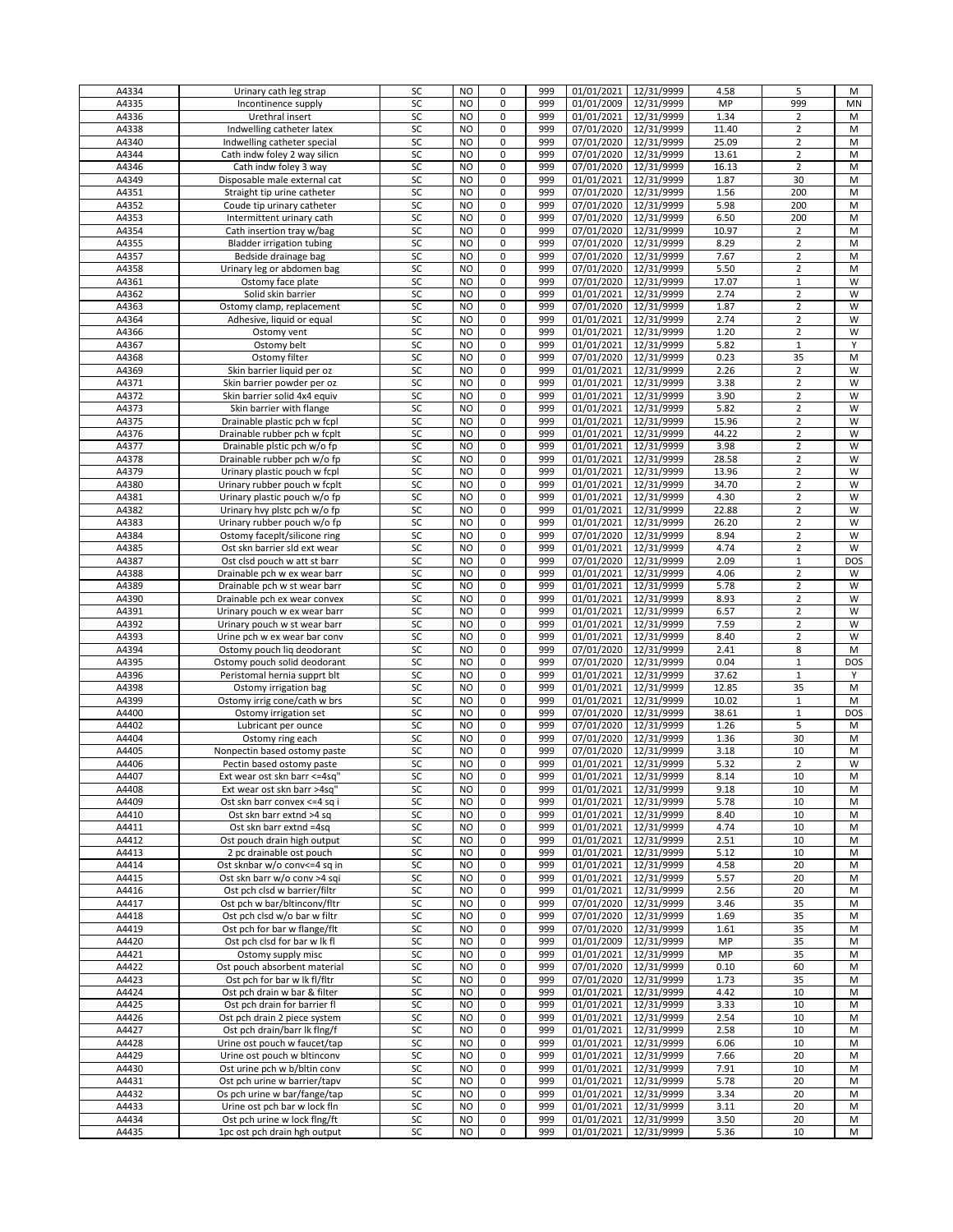| A4334 | Urinary cath leg strap           | SC | <b>NO</b>      | 0              | 999 | 01/01/2021              | 12/31/9999            | 4.58  | 5              | М          |
|-------|----------------------------------|----|----------------|----------------|-----|-------------------------|-----------------------|-------|----------------|------------|
| A4335 | Incontinence supply              | SC | N <sub>O</sub> | 0              | 999 | 01/01/2009              | 12/31/9999            | MP    | 999            | MN         |
| A4336 | Urethral insert                  | SC | NO             | 0              | 999 | 01/01/2021              | 12/31/9999            | 1.34  | $\overline{2}$ | М          |
|       |                                  |    |                |                |     |                         |                       |       |                |            |
| A4338 | Indwelling catheter latex        | SC | NO.            | 0              | 999 | 07/01/2020              | 12/31/9999            | 11.40 | $\overline{2}$ | M          |
| A4340 | Indwelling catheter special      | SC | N <sub>O</sub> | 0              | 999 | 07/01/2020 12/31/9999   |                       | 25.09 | $\overline{2}$ | M          |
| A4344 | Cath indw foley 2 way silicn     | SC | N <sub>O</sub> | 0              | 999 | 07/01/2020              | 12/31/9999            | 13.61 | $\overline{2}$ | M          |
|       |                                  |    |                |                |     |                         |                       |       |                |            |
| A4346 | Cath indw foley 3 way            | SC | NO             | 0              | 999 | 07/01/2020 12/31/9999   |                       | 16.13 | $\overline{2}$ | M          |
| A4349 | Disposable male external cat     | SC | <b>NO</b>      | 0              | 999 | 01/01/2021              | 12/31/9999            | 1.87  | 30             | M          |
|       |                                  |    |                | $\overline{0}$ |     |                         |                       |       |                |            |
| A4351 | Straight tip urine catheter      | SC | NO             |                | 999 | 07/01/2020 12/31/9999   |                       | 1.56  | 200            | M          |
| A4352 | Coude tip urinary catheter       | SC | N <sub>O</sub> | 0              | 999 | 07/01/2020              | 12/31/9999            | 5.98  | 200            | M          |
| A4353 | Intermittent urinary cath        | SC | NO.            | 0              | 999 | 07/01/2020 12/31/9999   |                       | 6.50  | 200            | M          |
|       |                                  |    |                |                |     |                         |                       |       |                |            |
| A4354 | Cath insertion tray w/bag        | SC | N <sub>O</sub> | 0              | 999 | 07/01/2020              | 12/31/9999            | 10.97 | $\overline{2}$ | M          |
| A4355 | <b>Bladder irrigation tubing</b> | SC | N <sub>O</sub> | 0              | 999 | 07/01/2020              | 12/31/9999            | 8.29  | $\overline{2}$ | M          |
| A4357 | Bedside drainage bag             | SC | NO             | 0              | 999 | 07/01/2020              | 12/31/9999            | 7.67  | $\overline{2}$ | M          |
|       |                                  |    |                |                |     |                         |                       |       |                |            |
| A4358 | Urinary leg or abdomen bag       | SC | NO             | 0              | 999 | 07/01/2020              | 12/31/9999            | 5.50  | $\overline{2}$ | M          |
| A4361 | Ostomy face plate                | SC | N <sub>O</sub> | 0              | 999 | 07/01/2020 12/31/9999   |                       | 17.07 | $1\,$          | W          |
|       |                                  | SC | N <sub>O</sub> | 0              |     |                         |                       | 2.74  | $\overline{2}$ | W          |
| A4362 | Solid skin barrier               |    |                |                | 999 | 01/01/2021              | 12/31/9999            |       |                |            |
| A4363 | Ostomy clamp, replacement        | SC | NO             | 0              | 999 | 07/01/2020              | 12/31/9999            | 1.87  | $\overline{2}$ | W          |
| A4364 | Adhesive, liquid or equal        | SC | N <sub>O</sub> | 0              | 999 | 01/01/2021              | 12/31/9999            | 2.74  | $\overline{2}$ | W          |
|       |                                  |    |                |                |     |                         |                       |       |                |            |
| A4366 | Ostomy vent                      | SC | N <sub>O</sub> | $\mathsf 0$    | 999 | 01/01/2021              | 12/31/9999            | 1.20  | $\overline{2}$ | W          |
| A4367 | Ostomy belt                      | SC | N <sub>O</sub> | 0              | 999 | 01/01/2021              | 12/31/9999            | 5.82  | $\mathbf{1}$   | Y          |
| A4368 | Ostomy filter                    | SC | NO             | 0              | 999 | 07/01/2020              | 12/31/9999            | 0.23  | 35             | M          |
|       |                                  |    |                |                |     |                         |                       |       |                |            |
| A4369 | Skin barrier liquid per oz       | SC | N <sub>O</sub> | 0              | 999 | 01/01/2021              | 12/31/9999            | 2.26  | $\overline{2}$ | W          |
| A4371 | Skin barrier powder per oz       | SC | N <sub>O</sub> | 0              | 999 | 01/01/2021              | 12/31/9999            | 3.38  | $\overline{2}$ | W          |
| A4372 |                                  | SC | NO             | 0              | 999 | 01/01/2021              |                       | 3.90  | $\overline{2}$ | W          |
|       | Skin barrier solid 4x4 equiv     |    |                |                |     |                         | 12/31/9999            |       |                |            |
| A4373 | Skin barrier with flange         | SC | NO             | 0              | 999 | 01/01/2021              | 12/31/9999            | 5.82  | $\overline{2}$ | W          |
| A4375 | Drainable plastic pch w fcpl     | SC | NO             | 0              | 999 | 01/01/2021              | 12/31/9999            | 15.96 | $\overline{2}$ | W          |
|       |                                  |    |                |                |     |                         |                       |       |                |            |
| A4376 | Drainable rubber pch w fcplt     | SC | NO             | 0              | 999 | 01/01/2021              | 12/31/9999            | 44.22 | $\overline{2}$ | W          |
| A4377 | Drainable plstic pch w/o fp      | SC | NO             | 0              | 999 | 01/01/2021              | 12/31/9999            | 3.98  | $\overline{2}$ | W          |
| A4378 | Drainable rubber pch w/o fp      | SC | N <sub>O</sub> | 0              | 999 | $\overline{01}/01/2021$ | 12/31/9999            | 28.58 | $\overline{2}$ | W          |
|       |                                  |    |                |                |     |                         |                       |       |                |            |
| A4379 | Urinary plastic pouch w fcpl     | SC | NO             | 0              | 999 | 01/01/2021              | 12/31/9999            | 13.96 | $\overline{2}$ | W          |
| A4380 | Urinary rubber pouch w fcplt     | SC | NO             | 0              | 999 | 01/01/2021              | 12/31/9999            | 34.70 | $\overline{2}$ | W          |
| A4381 | Urinary plastic pouch w/o fp     | SC | <b>NO</b>      | 0              | 999 | 01/01/2021              | 12/31/9999            | 4.30  | $\overline{2}$ | W          |
|       |                                  |    |                |                |     |                         |                       |       |                |            |
| A4382 | Urinary hvy plstc pch w/o fp     | SC | N <sub>O</sub> | $\pmb{0}$      | 999 | 01/01/2021              | 12/31/9999            | 22.88 | $\overline{2}$ | W          |
| A4383 | Urinary rubber pouch w/o fp      | SC | N <sub>O</sub> | 0              | 999 | 01/01/2021              | 12/31/9999            | 26.20 | $\overline{2}$ | W          |
|       |                                  | SC | NO.            | 0              | 999 |                         |                       |       | $\overline{2}$ | W          |
| A4384 | Ostomy faceplt/silicone ring     |    |                |                |     | 07/01/2020              | 12/31/9999            | 8.94  |                |            |
| A4385 | Ost skn barrier sld ext wear     | SC | N <sub>O</sub> | 0              | 999 | 01/01/2021              | 12/31/9999            | 4.74  | $\overline{2}$ | W          |
| A4387 | Ost clsd pouch w att st barr     | SC | N <sub>O</sub> | 0              | 999 | 07/01/2020              | 12/31/9999            | 2.09  | $\mathbf{1}$   | <b>DOS</b> |
|       |                                  |    |                |                |     |                         |                       |       |                |            |
| A4388 | Drainable pch w ex wear barr     | SC | N <sub>O</sub> | 0              | 999 | 01/01/2021              | 12/31/9999            | 4.06  | $\overline{2}$ | W          |
| A4389 | Drainable pch w st wear barr     | SC | NO             | 0              | 999 | 01/01/2021              | 12/31/9999            | 5.78  | $\overline{2}$ | W          |
| A4390 | Drainable pch ex wear convex     | SC | N <sub>O</sub> | 0              | 999 | 01/01/2021              | 12/31/9999            | 8.93  | $\overline{2}$ | W          |
|       |                                  |    |                |                |     |                         |                       |       |                |            |
| A4391 | Urinary pouch w ex wear barr     | SC | N <sub>O</sub> | 0              | 999 | 01/01/2021              | 12/31/9999            | 6.57  | $\overline{2}$ | W          |
| A4392 | Urinary pouch w st wear barr     | SC | N <sub>O</sub> | 0              | 999 | 01/01/2021              | 12/31/9999            | 7.59  | $\overline{2}$ | W          |
| A4393 | Urine pch w ex wear bar conv     | SC | NO             | 0              | 999 | 01/01/2021              | 12/31/9999            | 8.40  | $\overline{2}$ | W          |
|       |                                  |    |                |                |     |                         |                       |       |                |            |
| A4394 | Ostomy pouch liq deodorant       | SC | N <sub>O</sub> | $\mathsf 0$    | 999 | 07/01/2020              | 12/31/9999            | 2.41  | 8              | M          |
| A4395 | Ostomy pouch solid deodorant     | SC | N <sub>O</sub> | 0              | 999 | 07/01/2020              | 12/31/9999            | 0.04  | $\mathbf{1}$   | DOS        |
|       |                                  | SC | NO.            | 0              | 999 |                         |                       |       | $1\,$          | Y          |
| A4396 | Peristomal hernia supprt blt     |    |                |                |     | 01/01/2021              | 12/31/9999            | 37.62 |                |            |
| A4398 | Ostomy irrigation bag            | SC | N <sub>O</sub> | 0              | 999 | 01/01/2021              | 12/31/9999            | 12.85 | 35             | M          |
| A4399 | Ostomy irrig cone/cath w brs     | SC | N <sub>O</sub> | 0              | 999 | 01/01/2021              | 12/31/9999            | 10.02 | $\mathbf 1$    | М          |
|       |                                  |    |                |                |     | 07/01/2020              |                       |       |                |            |
| A4400 | Ostomy irrigation set            | SC | NO             | 0              | 999 |                         | 12/31/9999            | 38.61 | $\mathbf 1$    | <b>DOS</b> |
| A4402 | Lubricant per ounce              | SC | NO             | 0              | 999 | 07/01/2020              | 12/31/9999            | 1.26  | 5              | M          |
| A4404 | Ostomy ring each                 | SC | N <sub>O</sub> | 0              | 999 | 07/01/2020 12/31/9999   |                       | 1.36  | 30             | M          |
|       |                                  |    |                |                |     |                         |                       |       |                |            |
| A4405 | Nonpectin based ostomy paste     | SC | N <sub>O</sub> | 0              | 999 | 07/01/2020              | 12/31/9999            | 3.18  | 10             | M          |
| A4406 | Pectin based ostomy paste        | SC | NO.            | 0              | 999 | 01/01/2021              | 12/31/9999            | 5.32  | $\overline{2}$ | W          |
| A4407 | Ext wear ost skn barr <=4sq"     | SC | NO             | $\Omega$       | 999 | 01/01/2021 12/31/9999   |                       | 8.14  | 10             | M          |
|       |                                  |    |                |                |     |                         |                       |       |                |            |
| A4408 | Ext wear ost skn barr >4sq"      | SC | <b>NO</b>      | 0              | 999 | 01/01/2021              | 12/31/9999            | 9.18  | 10             | М          |
| A4409 | Ost skn barr convex <= 4 sq i    | SC | <b>NO</b>      | 0              | 999 | 01/01/2021              | 12/31/9999            | 5.78  | 10             | М          |
| A4410 | Ost skn barr extnd >4 sq         | SC | NO             | 0              | 999 | 01/01/2021              | 12/31/9999            | 8.40  | 10             | М          |
|       |                                  |    |                |                |     |                         |                       |       |                |            |
| A4411 | Ost skn barr extnd =4sq          | SC | N <sub>O</sub> | $\mathsf 0$    | 999 | 01/01/2021              | 12/31/9999            | 4.74  | 10             | M          |
| A4412 | Ost pouch drain high output      | SC | N <sub>O</sub> | 0              | 999 | 01/01/2021              | 12/31/9999            | 2.51  | 10             | M          |
| A4413 | 2 pc drainable ost pouch         | SC | NO             | 0              | 999 | 01/01/2021              | 12/31/9999            | 5.12  | 10             | M          |
|       |                                  |    |                |                |     |                         |                       |       |                |            |
| A4414 | Ost sknbar w/o conv<=4 sq in     | SC | <b>NO</b>      | 0              | 999 | 01/01/2021              | 12/31/9999            | 4.58  | 20             | М          |
| A4415 | Ost skn barr w/o conv >4 sqi     | SC | <b>NO</b>      | 0              | 999 | 01/01/2021              | 12/31/9999            | 5.57  | 20             | M          |
| A4416 | Ost pch clsd w barrier/filtr     | SC | NO             | 0              | 999 | 01/01/2021              | 12/31/9999            | 2.56  | 20             |            |
|       |                                  |    |                |                |     |                         |                       |       |                | М          |
| A4417 | Ost pch w bar/bltinconv/fltr     | SC | NO             | 0              | 999 | 07/01/2020 12/31/9999   |                       | 3.46  | 35             | М          |
| A4418 | Ost pch clsd w/o bar w filtr     | SC | <b>NO</b>      | 0              | 999 | 07/01/2020 12/31/9999   |                       | 1.69  | 35             | M          |
|       |                                  |    |                |                |     |                         |                       |       |                |            |
| A4419 | Ost pch for bar w flange/flt     | SC | N <sub>O</sub> | 0              | 999 | 07/01/2020 12/31/9999   |                       | 1.61  | 35             | M          |
| A4420 | Ost pch clsd for bar w lk fl     | SC | NO             | 0              | 999 | 01/01/2009 12/31/9999   |                       | MP    | 35             | M          |
| A4421 | Ostomy supply misc               | SC | NO             | 0              | 999 | $\overline{01}/01/2021$ | 12/31/9999            | MP    | 35             | M          |
|       |                                  |    |                |                |     |                         |                       |       |                |            |
| A4422 | Ost pouch absorbent material     | SC | NO             | 0              | 999 |                         | 07/01/2020 12/31/9999 | 0.10  | 60             | M          |
| A4423 | Ost pch for bar w lk fl/fltr     | SC | NO             | 0              | 999 | 07/01/2020 12/31/9999   |                       | 1.73  | 35             | М          |
| A4424 | Ost pch drain w bar & filter     | SC | NO             | 0              | 999 |                         | 01/01/2021 12/31/9999 | 4.42  | 10             | M          |
|       |                                  |    |                |                |     |                         |                       |       |                |            |
| A4425 | Ost pch drain for barrier fl     | SC | <b>NO</b>      | 0              | 999 | 01/01/2021              | 12/31/9999            | 3.33  | 10             | M          |
| A4426 | Ost pch drain 2 piece system     | SC | <b>NO</b>      | 0              | 999 | 01/01/2021              | 12/31/9999            | 2.54  | 10             | M          |
|       |                                  |    |                |                |     |                         |                       |       |                |            |
| A4427 | Ost pch drain/barr lk flng/f     | SC | NO             | 0              | 999 | 01/01/2021              | 12/31/9999            | 2.58  | 10             | M          |
| A4428 | Urine ost pouch w faucet/tap     | SC | N <sub>O</sub> | 0              | 999 | 01/01/2021              | 12/31/9999            | 6.06  | 10             | M          |
| A4429 | Urine ost pouch w bltinconv      | SC | N <sub>O</sub> | 0              | 999 | 01/01/2021              | 12/31/9999            | 7.66  | 20             | M          |
|       |                                  |    |                |                |     |                         |                       |       |                |            |
| A4430 | Ost urine pch w b/bltin conv     | SC | N <sub>O</sub> | 0              | 999 | 01/01/2021              | 12/31/9999            | 7.91  | 10             | M          |
| A4431 | Ost pch urine w barrier/tapv     | SC | NO             | 0              | 999 | 01/01/2021              | 12/31/9999            | 5.78  | 20             | M          |
| A4432 | Os pch urine w bar/fange/tap     | SC | <b>NO</b>      | 0              | 999 | 01/01/2021              | 12/31/9999            | 3.34  | 20             | M          |
|       |                                  |    |                |                |     |                         |                       |       |                |            |
| A4433 | Urine ost pch bar w lock fln     | SC | NO             | $\mathsf 0$    | 999 | 01/01/2021              | 12/31/9999            | 3.11  | 20             | M          |
| A4434 | Ost pch urine w lock flng/ft     | SC | NO             | 0              | 999 | 01/01/2021              | 12/31/9999            | 3.50  | 20             | М          |
|       |                                  |    |                |                |     |                         |                       |       |                |            |
| A4435 | 1pc ost pch drain hgh output     | SC | <b>NO</b>      | 0              | 999 | 01/01/2021 12/31/9999   |                       | 5.36  | 10             | M          |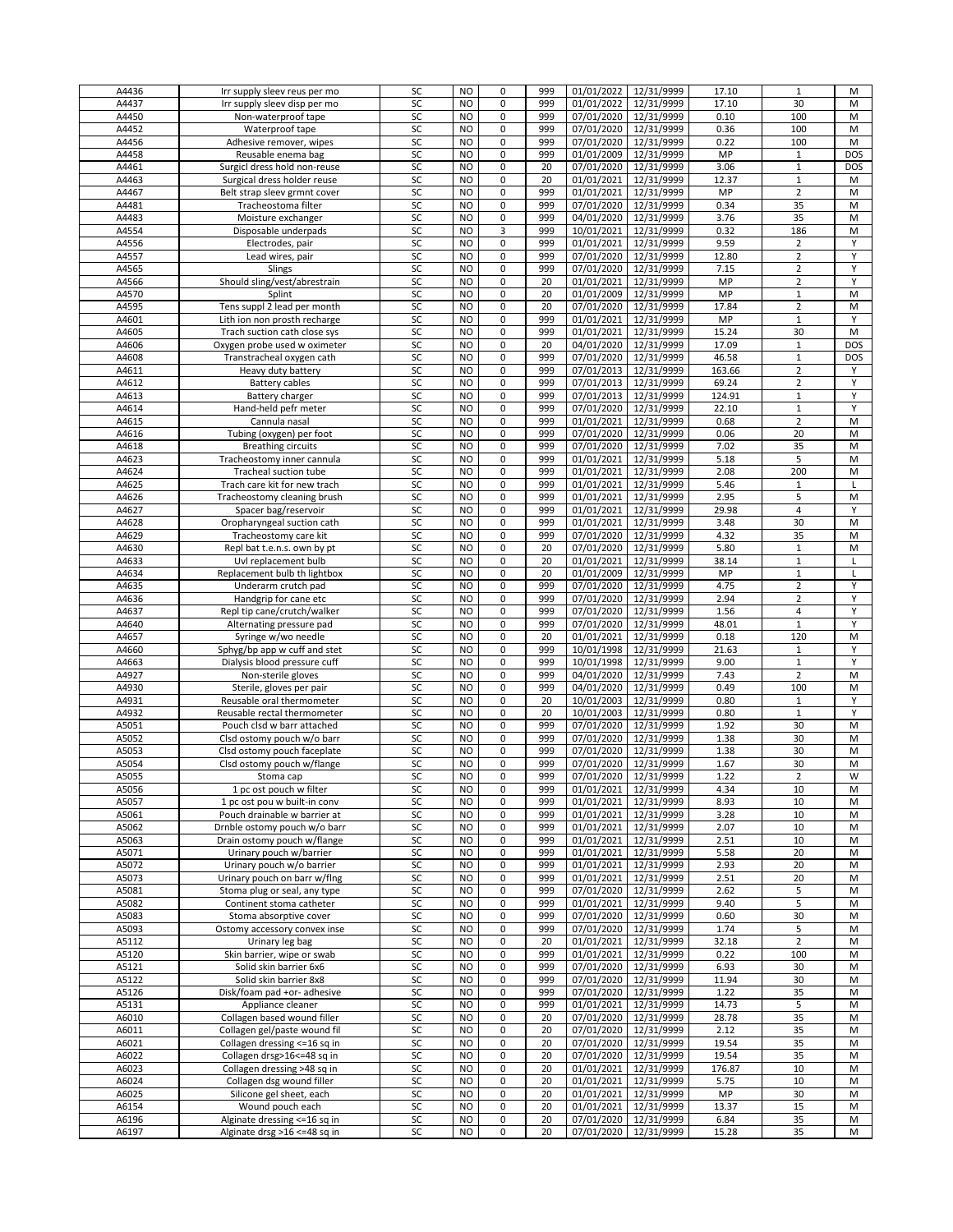|       |                               |    |                |                |     |            | 12/31/9999 |        |                |            |
|-------|-------------------------------|----|----------------|----------------|-----|------------|------------|--------|----------------|------------|
| A4436 | Irr supply sleev reus per mo  | SC | <b>NO</b>      | 0              | 999 | 01/01/2022 |            | 17.10  | $\mathbf{1}$   | М          |
| A4437 | Irr supply sleev disp per mo  | SC | <b>NO</b>      | 0              | 999 | 01/01/2022 | 12/31/9999 | 17.10  | 30             | M          |
| A4450 | Non-waterproof tape           | SC | <b>NO</b>      | 0              | 999 | 07/01/2020 | 12/31/9999 | 0.10   | 100            | M          |
| A4452 | Waterproof tape               | SC | NO             | 0              | 999 | 07/01/2020 | 12/31/9999 | 0.36   | 100            | M          |
|       |                               |    |                |                |     |            |            |        |                |            |
| A4456 | Adhesive remover, wipes       | SC | <b>NO</b>      | 0              | 999 | 07/01/2020 | 12/31/9999 | 0.22   | 100            | M          |
| A4458 | Reusable enema bag            | SC | <b>NO</b>      | 0              | 999 | 01/01/2009 | 12/31/9999 | MP     | $\mathbf{1}$   | <b>DOS</b> |
| A4461 | Surgicl dress hold non-reuse  | SC | <b>NO</b>      | 0              | 20  | 07/01/2020 | 12/31/9999 | 3.06   | $\mathbf{1}$   | <b>DOS</b> |
|       |                               |    |                |                |     |            |            |        |                |            |
| A4463 | Surgical dress holder reuse   | SC | N <sub>O</sub> | 0              | 20  | 01/01/2021 | 12/31/9999 | 12.37  | $\mathbf 1$    | M          |
| A4467 | Belt strap sleev grmnt cover  | SC | <b>NO</b>      | 0              | 999 | 01/01/2021 | 12/31/9999 | MP     | $\overline{2}$ | M          |
| A4481 | Tracheostoma filter           | SC | <b>NO</b>      | 0              | 999 | 07/01/2020 | 12/31/9999 | 0.34   | 35             | M          |
|       |                               |    |                |                |     |            |            |        |                |            |
| A4483 | Moisture exchanger            | SC | N <sub>O</sub> | 0              | 999 | 04/01/2020 | 12/31/9999 | 3.76   | 35             | M          |
| A4554 | Disposable underpads          | SC | <b>NO</b>      | 3              | 999 | 10/01/2021 | 12/31/9999 | 0.32   | 186            | M          |
|       |                               |    |                |                |     |            |            |        |                |            |
| A4556 | Electrodes, pair              | SC | <b>NO</b>      | $\pmb{0}$      | 999 | 01/01/2021 | 12/31/9999 | 9.59   | $\overline{2}$ | Y          |
| A4557 | Lead wires, pair              | SC | <b>NO</b>      | 0              | 999 | 07/01/2020 | 12/31/9999 | 12.80  | $\overline{2}$ | Y          |
| A4565 | Slings                        | SC | NO             | 0              | 999 | 07/01/2020 | 12/31/9999 | 7.15   | $\overline{2}$ | Υ          |
|       |                               |    |                |                |     |            |            |        |                |            |
| A4566 | Should sling/vest/abrestrain  | SC | <b>NO</b>      | 0              | 20  | 01/01/2021 | 12/31/9999 | MP     | $\overline{2}$ | Y          |
| A4570 | Splint                        | SC | <b>NO</b>      | 0              | 20  | 01/01/2009 | 12/31/9999 | MP     | $\mathbf{1}$   | M          |
| A4595 | Tens suppl 2 lead per month   | SC | NO.            | 0              | 20  | 07/01/2020 | 12/31/9999 | 17.84  | $\overline{2}$ | M          |
|       |                               |    |                |                |     |            |            |        |                |            |
| A4601 | Lith ion non prosth recharge  | SC | <b>NO</b>      | 0              | 999 | 01/01/2021 | 12/31/9999 | MP     | $\mathbf 1$    | Υ          |
| A4605 | Trach suction cath close sys  | SC | <b>NO</b>      | 0              | 999 | 01/01/2021 | 12/31/9999 | 15.24  | 30             | M          |
| A4606 | Oxygen probe used w oximeter  | SC | <b>NO</b>      | 0              | 20  | 04/01/2020 | 12/31/9999 | 17.09  | $1\,$          | <b>DOS</b> |
|       |                               |    |                |                |     |            |            |        |                |            |
| A4608 | Transtracheal oxygen cath     | SC | NO             | $\overline{0}$ | 999 | 07/01/2020 | 12/31/9999 | 46.58  | $1\,$          | DOS        |
| A4611 | Heavy duty battery            | SC | <b>NO</b>      | 0              | 999 | 07/01/2013 | 12/31/9999 | 163.66 | $\overline{2}$ | Υ          |
| A4612 |                               | SC | <b>NO</b>      | 0              | 999 | 07/01/2013 |            | 69.24  |                | Υ          |
|       | Battery cables                |    |                |                |     |            | 12/31/9999 |        | $\overline{2}$ |            |
| A4613 | Battery charger               | SC | NO             | 0              | 999 | 07/01/2013 | 12/31/9999 | 124.91 | $1\,$          | Υ          |
| A4614 | Hand-held pefr meter          | SC | <b>NO</b>      | 0              | 999 | 07/01/2020 | 12/31/9999 | 22.10  | $\mathbf 1$    | Υ          |
|       |                               |    |                |                |     |            |            |        |                |            |
| A4615 | Cannula nasal                 | SC | <b>NO</b>      | 0              | 999 | 01/01/2021 | 12/31/9999 | 0.68   | $\overline{2}$ | M          |
| A4616 | Tubing (oxygen) per foot      | SC | <b>NO</b>      | 0              | 999 | 07/01/2020 | 12/31/9999 | 0.06   | 20             | M          |
| A4618 | <b>Breathing circuits</b>     | SC | NO             | 0              | 999 | 07/01/2020 | 12/31/9999 | 7.02   | 35             | M          |
|       |                               |    |                |                |     |            |            |        |                |            |
| A4623 | Tracheostomy inner cannula    | SC | <b>NO</b>      | 0              | 999 | 01/01/2021 | 12/31/9999 | 5.18   | 5              | M          |
| A4624 | Tracheal suction tube         | SC | <b>NO</b>      | 0              | 999 | 01/01/2021 | 12/31/9999 | 2.08   | 200            | M          |
| A4625 | Trach care kit for new trach  | SC | <b>NO</b>      | 0              | 999 | 01/01/2021 | 12/31/9999 | 5.46   | $\mathbf{1}$   | L          |
|       |                               |    |                |                |     |            |            |        |                |            |
| A4626 | Tracheostomy cleaning brush   | SC | <b>NO</b>      | 0              | 999 | 01/01/2021 | 12/31/9999 | 2.95   | 5              | M          |
| A4627 | Spacer bag/reservoir          | SC | <b>NO</b>      | 0              | 999 | 01/01/2021 | 12/31/9999 | 29.98  | $\overline{4}$ | Υ          |
|       |                               |    |                | 0              |     |            |            |        |                |            |
| A4628 | Oropharyngeal suction cath    | SC | <b>NO</b>      |                | 999 | 01/01/2021 | 12/31/9999 | 3.48   | 30             | M          |
| A4629 | Tracheostomy care kit         | SC | NO             | 0              | 999 | 07/01/2020 | 12/31/9999 | 4.32   | 35             | M          |
| A4630 | Repl bat t.e.n.s. own by pt   | SC | <b>NO</b>      | $\mathbf 0$    | 20  | 07/01/2020 | 12/31/9999 | 5.80   | $\mathbf{1}$   | M          |
|       |                               |    |                |                |     |            |            |        |                |            |
| A4633 | Uvl replacement bulb          | SC | <b>NO</b>      | 0              | 20  | 01/01/2021 | 12/31/9999 | 38.14  | $1\,$          | Г          |
| A4634 | Replacement bulb th lightbox  | SC | <b>NO</b>      | 0              | 20  | 01/01/2009 | 12/31/9999 | MP     | $1\,$          | Г          |
| A4635 | Underarm crutch pad           | SC | N <sub>O</sub> | 0              | 999 | 07/01/2020 | 12/31/9999 | 4.75   | $\overline{2}$ | Υ          |
|       |                               |    |                |                |     |            |            |        |                |            |
| A4636 | Handgrip for cane etc         | SC | <b>NO</b>      | 0              | 999 | 07/01/2020 | 12/31/9999 | 2.94   | $\overline{2}$ | Υ          |
| A4637 | Repl tip cane/crutch/walker   | SC | <b>NO</b>      | 0              | 999 | 07/01/2020 | 12/31/9999 | 1.56   | $\overline{4}$ | Υ          |
| A4640 | Alternating pressure pad      | SC | <b>NO</b>      | 0              | 999 | 07/01/2020 | 12/31/9999 | 48.01  | $\mathbf{1}$   | Υ          |
|       |                               |    |                |                |     |            |            |        |                |            |
| A4657 | Syringe w/wo needle           | SC | N <sub>O</sub> | 0              | 20  | 01/01/2021 | 12/31/9999 | 0.18   | 120            | M          |
| A4660 | Sphyg/bp app w cuff and stet  | SC | <b>NO</b>      | 0              | 999 | 10/01/1998 | 12/31/9999 | 21.63  | $\mathbf{1}$   | Υ          |
|       |                               |    | <b>NO</b>      | 0              | 999 |            |            | 9.00   |                |            |
| A4663 | Dialysis blood pressure cuff  | SC |                |                |     | 10/01/1998 | 12/31/9999 |        | $\mathbf{1}$   | Υ          |
| A4927 | Non-sterile gloves            | SC | NO             | 0              | 999 | 04/01/2020 | 12/31/9999 | 7.43   | $\overline{2}$ | M          |
| A4930 | Sterile, gloves per pair      | SC | <b>NO</b>      | 0              | 999 | 04/01/2020 | 12/31/9999 | 0.49   | 100            | M          |
|       |                               |    |                |                |     |            |            |        |                |            |
| A4931 | Reusable oral thermometer     | SC | <b>NO</b>      | 0              | 20  | 10/01/2003 | 12/31/9999 | 0.80   | $\mathbf{1}$   | Y          |
| A4932 | Reusable rectal thermometer   | SC | <b>NO</b>      | 0              | 20  | 10/01/2003 | 12/31/9999 | 0.80   | $1\,$          | Y          |
| A5051 | Pouch clsd w barr attached    | SC | <b>NO</b>      | 0              | 999 | 07/01/2020 | 12/31/9999 | 1.92   | 30             | M          |
|       |                               |    |                |                |     |            |            |        |                |            |
| A5052 | Clsd ostomy pouch w/o barr    | SC | N <sub>O</sub> | 0              | 999 | 07/01/2020 | 12/31/9999 | 1.38   | 30             | M          |
| A5053 | Clsd ostomy pouch faceplate   | SC | <b>NO</b>      | 0              | 999 | 07/01/2020 | 12/31/9999 | 1.38   | 30             | M          |
| A5054 | Clsd ostomy pouch w/flange    | SC | N <sub>O</sub> | 0              | 999 | 07/01/2020 | 12/31/9999 | 1.67   | 30             | M          |
|       |                               |    |                |                |     |            |            |        |                |            |
| A5055 | Stoma cap                     | SC | <b>NO</b>      | 0              | 999 | 07/01/2020 | 12/31/9999 | 1.22   | $\overline{2}$ | W          |
| A5056 | 1 pc ost pouch w filter       | SC | <b>NO</b>      | 0              | 999 | 01/01/2021 | 12/31/9999 | 4.34   | 10             | М          |
| A5057 | 1 pc ost pou w built-in conv  | SC | <b>NO</b>      | 0              | 999 | 01/01/2021 | 12/31/9999 | 8.93   | 10             | M          |
|       |                               |    |                |                |     |            |            |        |                |            |
| A5061 | Pouch drainable w barrier at  | SC | <b>NO</b>      | 0              | 999 | 01/01/2021 | 12/31/9999 | 3.28   | 10             | М          |
| A5062 | Drnble ostomy pouch w/o barr  | SC | <b>NO</b>      | 0              | 999 | 01/01/2021 | 12/31/9999 | 2.07   | 10             | M          |
| A5063 | Drain ostomy pouch w/flange   | SC | <b>NO</b>      | 0              | 999 | 01/01/2021 | 12/31/9999 | 2.51   | 10             | М          |
|       |                               |    |                |                |     |            |            |        |                |            |
| A5071 | Urinary pouch w/barrier       | SC | <b>NO</b>      | 0              | 999 | 01/01/2021 | 12/31/9999 | 5.58   | 20             | M          |
| A5072 | Urinary pouch w/o barrier     | SC | <b>NO</b>      | 0              | 999 | 01/01/2021 | 12/31/9999 | 2.93   | 20             | M          |
| A5073 | Urinary pouch on barr w/flng  | SC | <b>NO</b>      | 0              | 999 | 01/01/2021 | 12/31/9999 | 2.51   | 20             | M          |
|       |                               |    |                |                |     |            |            |        |                |            |
| A5081 | Stoma plug or seal, any type  | SC | <b>NO</b>      | 0              | 999 | 07/01/2020 | 12/31/9999 | 2.62   | 5              | M          |
| A5082 | Continent stoma catheter      | SC | NO             | 0              | 999 | 01/01/2021 | 12/31/9999 | 9.40   | 5              | M          |
| A5083 | Stoma absorptive cover        | SC | <b>NO</b>      | 0              | 999 | 07/01/2020 | 12/31/9999 | 0.60   | 30             | M          |
|       |                               |    |                |                |     |            |            |        |                |            |
| A5093 | Ostomy accessory convex inse  | SC | <b>NO</b>      | 0              | 999 | 07/01/2020 | 12/31/9999 | 1.74   | 5              | M          |
| A5112 | Urinary leg bag               | SC | <b>NO</b>      | 0              | 20  | 01/01/2021 | 12/31/9999 | 32.18  | $\overline{2}$ | M          |
| A5120 | Skin barrier, wipe or swab    | SC | <b>NO</b>      | 0              | 999 | 01/01/2021 | 12/31/9999 | 0.22   | 100            | M          |
|       |                               |    |                |                |     |            |            |        |                |            |
| A5121 | Solid skin barrier 6x6        | SC | <b>NO</b>      | 0              | 999 | 07/01/2020 | 12/31/9999 | 6.93   | 30             | M          |
| A5122 | Solid skin barrier 8x8        | SC | <b>NO</b>      | 0              | 999 | 07/01/2020 | 12/31/9999 | 11.94  | 30             | M          |
| A5126 | Disk/foam pad +or- adhesive   | SC | NO             | 0              | 999 | 07/01/2020 | 12/31/9999 | 1.22   | 35             | M          |
|       |                               |    |                |                |     |            |            |        |                |            |
| A5131 | Appliance cleaner             | SC | <b>NO</b>      | 0              | 999 | 01/01/2021 | 12/31/9999 | 14.73  | 5              | M          |
| A6010 | Collagen based wound filler   | SC | <b>NO</b>      | 0              | 20  | 07/01/2020 | 12/31/9999 | 28.78  | 35             | M          |
| A6011 | Collagen gel/paste wound fil  | SC | NO.            | 0              | 20  | 07/01/2020 | 12/31/9999 | 2.12   | 35             | M          |
|       |                               |    |                |                |     |            |            |        |                |            |
| A6021 | Collagen dressing <= 16 sq in | SC | <b>NO</b>      | 0              | 20  | 07/01/2020 | 12/31/9999 | 19.54  | 35             | M          |
| A6022 | Collagen drsg>16<=48 sq in    | SC | <b>NO</b>      | 0              | 20  | 07/01/2020 | 12/31/9999 | 19.54  | 35             | M          |
| A6023 | Collagen dressing >48 sq in   | SC | <b>NO</b>      | 0              | 20  | 01/01/2021 | 12/31/9999 | 176.87 | 10             | M          |
|       |                               |    |                |                |     |            |            |        |                |            |
| A6024 | Collagen dsg wound filler     | SC | <b>NO</b>      | 0              | 20  | 01/01/2021 | 12/31/9999 | 5.75   | 10             | M          |
| A6025 | Silicone gel sheet, each      | SC | <b>NO</b>      | 0              | 20  | 01/01/2021 | 12/31/9999 | MP     | 30             | M          |
| A6154 | Wound pouch each              | SC | <b>NO</b>      | 0              | 20  | 01/01/2021 | 12/31/9999 | 13.37  | 15             | M          |
|       |                               |    |                |                |     |            |            |        |                |            |
| A6196 | Alginate dressing <= 16 sq in | SC | <b>NO</b>      | 0              | 20  | 07/01/2020 | 12/31/9999 | 6.84   | 35             | М          |
| A6197 | Alginate drsg >16 <= 48 sq in | SC | <b>NO</b>      | 0              | 20  | 07/01/2020 | 12/31/9999 | 15.28  | 35             | M          |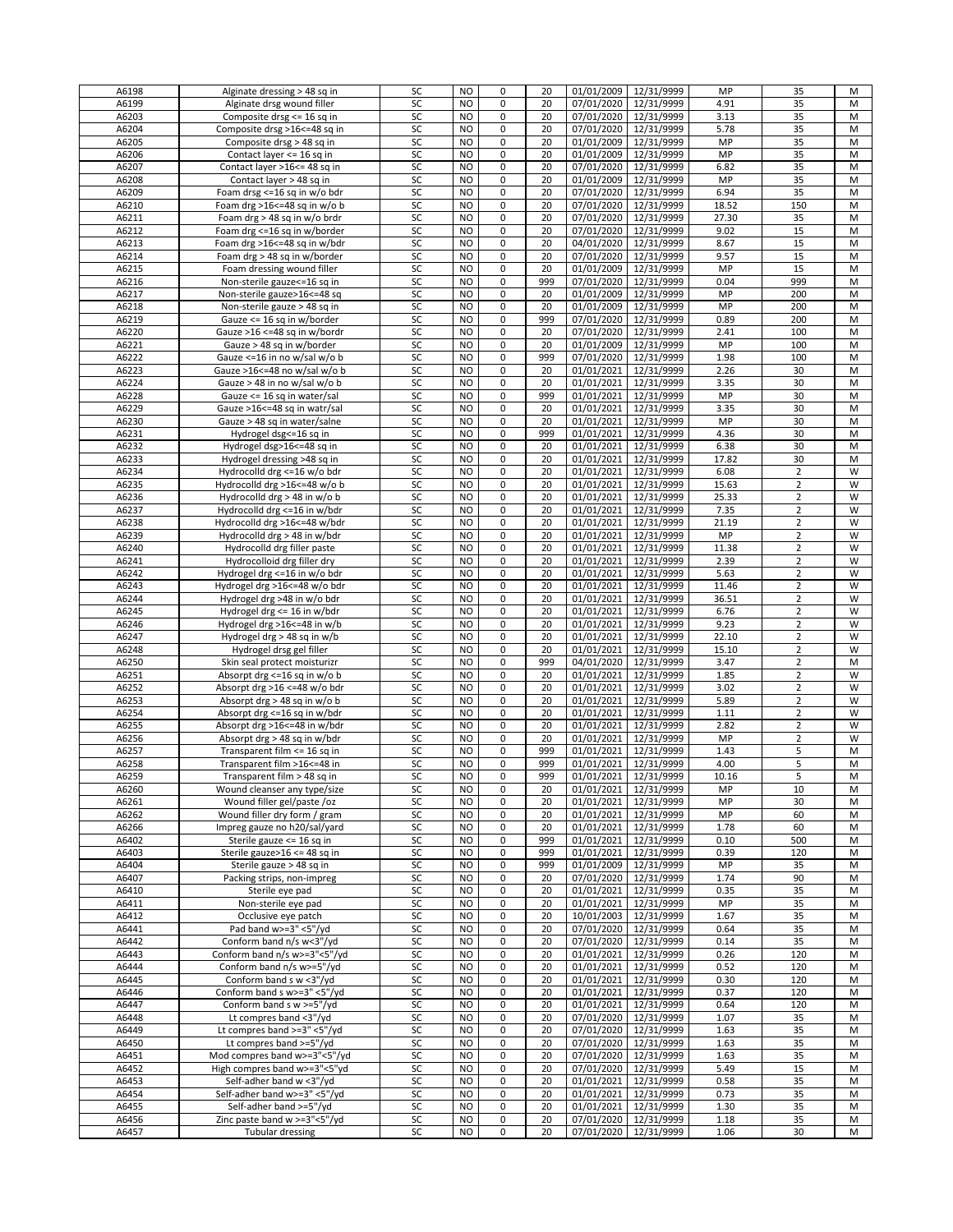| A6198 | Alginate dressing > 48 sq in   | SC | <b>NO</b>      | 0              | 20  | 01/01/2009 | 12/31/9999            | MP    | 35             | M |
|-------|--------------------------------|----|----------------|----------------|-----|------------|-----------------------|-------|----------------|---|
| A6199 | Alginate drsg wound filler     | SC | <b>NO</b>      | 0              | 20  | 07/01/2020 | 12/31/9999            | 4.91  | 35             | M |
|       |                                |    |                |                |     |            |                       |       |                |   |
| A6203 | Composite drsg <= 16 sq in     | SC | NO             | $\mathsf 0$    | 20  | 07/01/2020 | 12/31/9999            | 3.13  | 35             | M |
| A6204 | Composite drsg >16<=48 sq in   | SC | N <sub>O</sub> | 0              | 20  |            | 07/01/2020 12/31/9999 | 5.78  | 35             | M |
| A6205 | Composite drsg > 48 sq in      | SC | NO             | 0              | 20  |            | 01/01/2009 12/31/9999 | MP    | 35             | м |
|       |                                |    |                | 0              |     |            |                       |       |                |   |
| A6206 | Contact layer <= 16 sq in      | SC | N <sub>O</sub> |                | 20  |            | 01/01/2009 12/31/9999 | MP    | 35             | M |
| A6207 | Contact layer >16<= 48 sq in   | SC | N <sub>O</sub> | 0              | 20  |            | 07/01/2020 12/31/9999 | 6.82  | 35             | M |
| A6208 | Contact layer > 48 sq in       | SC | NO             | 0              | 20  |            | 01/01/2009 12/31/9999 | MP    | 35             | M |
|       |                                |    |                |                |     |            |                       |       |                |   |
| A6209 | Foam drsg <= 16 sq in w/o bdr  | SC | NO             | 0              | 20  |            | 07/01/2020 12/31/9999 | 6.94  | 35             | M |
| A6210 | Foam drg >16 <= 48 sq in w/o b | SC | N <sub>O</sub> | 0              | 20  | 07/01/2020 | 12/31/9999            | 18.52 | 150            | M |
| A6211 | Foam drg > 48 sq in w/o brdr   | SC | N <sub>O</sub> | 0              | 20  |            | 07/01/2020 12/31/9999 | 27.30 | 35             | M |
|       |                                |    |                |                |     |            |                       |       |                |   |
| A6212 | Foam drg <= 16 sq in w/border  | SC | NO.            | 0              | 20  |            | 07/01/2020 12/31/9999 | 9.02  | 15             | M |
| A6213 | Foam drg >16 <= 48 sq in w/bdr | SC | N <sub>O</sub> | 0              | 20  | 04/01/2020 | 12/31/9999            | 8.67  | 15             | M |
| A6214 | Foam drg > 48 sq in w/border   | SC | N <sub>O</sub> | 0              | 20  | 07/01/2020 | 12/31/9999            | 9.57  | 15             | M |
| A6215 | Foam dressing wound filler     |    | NO             | 0              | 20  |            | 01/01/2009 12/31/9999 |       |                |   |
|       |                                | SC |                |                |     |            |                       | MP    | 15             | M |
| A6216 | Non-sterile gauze <= 16 sq in  | SC | NO             | 0              | 999 |            | 07/01/2020 12/31/9999 | 0.04  | 999            | M |
| A6217 | Non-sterile gauze>16<=48 sq    | SC | N <sub>O</sub> | 0              | 20  |            | 01/01/2009 12/31/9999 | MP    | 200            | M |
| A6218 | Non-sterile gauze > 48 sq in   | SC | N <sub>O</sub> | 0              | 20  |            | 01/01/2009 12/31/9999 | MP    | 200            | M |
|       |                                |    |                |                |     |            |                       |       |                |   |
| A6219 | Gauze <= 16 sq in w/border     | SC | NO.            | 0              | 999 |            | 07/01/2020 12/31/9999 | 0.89  | 200            | M |
| A6220 | Gauze >16 <=48 sq in w/bordr   | SC | N <sub>O</sub> | 0              | 20  |            | 07/01/2020 12/31/9999 | 2.41  | 100            | M |
| A6221 | Gauze > 48 sq in w/border      | SC | N <sub>O</sub> | 0              | 20  | 01/01/2009 | 12/31/9999            | MP    | 100            | M |
|       |                                |    |                |                |     |            |                       |       |                |   |
| A6222 | Gauze <= 16 in no w/sal w/o b  | SC | NO             | 0              | 999 |            | 07/01/2020 12/31/9999 | 1.98  | 100            | M |
| A6223 | Gauze >16<=48 no w/sal w/o b   | SC | N <sub>O</sub> | 0              | 20  | 01/01/2021 | 12/31/9999            | 2.26  | 30             | M |
| A6224 | Gauze > 48 in no w/sal w/o b   | SC | N <sub>O</sub> | 0              | 20  | 01/01/2021 | 12/31/9999            | 3.35  | 30             | M |
|       |                                |    |                |                |     |            |                       |       |                |   |
| A6228 | Gauze <= 16 sq in water/sal    | SC | N <sub>O</sub> | 0              | 999 | 01/01/2021 | 12/31/9999            | MP    | 30             | M |
| A6229 | Gauze >16 <= 48 sq in watr/sal | SC | NO             | 0              | 20  | 01/01/2021 | 12/31/9999            | 3.35  | 30             | M |
| A6230 | Gauze > 48 sq in water/salne   | SC | N <sub>O</sub> | 0              | 20  | 01/01/2021 | 12/31/9999            | MP    | 30             | M |
|       |                                |    |                |                |     |            |                       |       |                |   |
| A6231 | Hydrogel dsg<=16 sq in         | SC | N <sub>O</sub> | $\mathsf 0$    | 999 | 01/01/2021 | 12/31/9999            | 4.36  | 30             | M |
| A6232 | Hydrogel dsg>16<=48 sq in      | SC | N <sub>O</sub> | 0              | 20  | 01/01/2021 | 12/31/9999            | 6.38  | 30             | M |
| A6233 | Hydrogel dressing >48 sq in    | SC | NO.            | 0              | 20  | 01/01/2021 | 12/31/9999            | 17.82 | 30             | M |
|       |                                |    |                |                |     |            |                       |       |                |   |
| A6234 | Hydrocolld drg <= 16 w/o bdr   | SC | N <sub>O</sub> | 0              | 20  | 01/01/2021 | 12/31/9999            | 6.08  | $\overline{2}$ | W |
| A6235 | Hydrocolld drg >16<=48 w/o b   | SC | N <sub>O</sub> | 0              | 20  | 01/01/2021 | 12/31/9999            | 15.63 | $\overline{2}$ | W |
| A6236 | Hydrocolld drg > 48 in w/o b   | SC | NO             | 0              | 20  | 01/01/2021 | 12/31/9999            | 25.33 | $\overline{2}$ | W |
|       |                                |    |                | 0              |     |            |                       |       |                | W |
| A6237 | Hydrocolld drg <= 16 in w/bdr  | SC | NO             |                | 20  | 01/01/2021 | 12/31/9999            | 7.35  | $\overline{2}$ |   |
| A6238 | Hydrocolld drg >16<=48 w/bdr   | SC | NO             | 0              | 20  | 01/01/2021 | 12/31/9999            | 21.19 | $\overline{2}$ | W |
| A6239 | Hydrocolld drg > 48 in w/bdr   | SC | NO             | 0              | 20  | 01/01/2021 | 12/31/9999            | MP    | $\overline{2}$ | W |
| A6240 |                                | SC | NO.            | 0              | 20  | 01/01/2021 | 12/31/9999            | 11.38 | $\overline{2}$ | W |
|       | Hydrocolld drg filler paste    |    |                |                |     |            |                       |       |                |   |
| A6241 | Hydrocolloid drg filler dry    | SC | N <sub>O</sub> | 0              | 20  | 01/01/2021 | 12/31/9999            | 2.39  | $\overline{2}$ | W |
| A6242 | Hydrogel drg <= 16 in w/o bdr  | SC | <b>NO</b>      | $\mathsf 0$    | 20  | 01/01/2021 | 12/31/9999            | 5.63  | $\overline{2}$ | W |
| A6243 | Hydrogel drg >16<=48 w/o bdr   | SC | N <sub>O</sub> | 0              | 20  | 01/01/2021 | 12/31/9999            | 11.46 | 2              | W |
|       |                                |    |                |                |     |            |                       |       |                |   |
| A6244 | Hydrogel drg >48 in w/o bdr    | SC | NO             | 0              | 20  | 01/01/2021 | 12/31/9999            | 36.51 | $\overline{2}$ | W |
| A6245 | Hydrogel drg <= 16 in w/bdr    | SC | N <sub>O</sub> | $\pmb{0}$      | 20  | 01/01/2021 | 12/31/9999            | 6.76  | $\overline{2}$ | W |
| A6246 | Hydrogel drg >16<=48 in w/b    | SC | N <sub>O</sub> | 0              | 20  | 01/01/2021 | 12/31/9999            | 9.23  | $\overline{2}$ | W |
|       |                                |    |                |                |     |            |                       |       |                |   |
| A6247 | Hydrogel drg > 48 sq in w/b    | SC | NO.            | 0              | 20  | 01/01/2021 | 12/31/9999            | 22.10 | $\overline{2}$ | W |
| A6248 | Hydrogel drsg gel filler       | SC | N <sub>O</sub> | 0              | 20  | 01/01/2021 | 12/31/9999            | 15.10 | $\overline{2}$ | W |
| A6250 | Skin seal protect moisturizr   | SC | N <sub>O</sub> | 0              | 999 | 04/01/2020 | 12/31/9999            | 3.47  | $\overline{2}$ | M |
|       |                                |    |                |                |     |            |                       |       |                |   |
| A6251 | Absorpt drg <= 16 sq in w/o b  | SC | N <sub>O</sub> | 0              | 20  | 01/01/2021 | 12/31/9999            | 1.85  | $\overline{2}$ | W |
| A6252 | Absorpt drg >16 <= 48 w/o bdr  | SC | NO             | 0              | 20  | 01/01/2021 | 12/31/9999            | 3.02  | $\overline{2}$ | W |
| A6253 | Absorpt drg > 48 sq in w/o b   | SC | N <sub>O</sub> | 0              | 20  | 01/01/2021 | 12/31/9999            | 5.89  | $\overline{2}$ | W |
|       |                                |    |                |                |     |            |                       |       |                |   |
| A6254 | Absorpt drg <= 16 sq in w/bdr  | SC | N <sub>O</sub> | 0              | 20  | 01/01/2021 | 12/31/9999            | 1.11  | $\overline{2}$ | W |
| A6255 | Absorpt drg >16<=48 in w/bdr   | SC | NO             | 0              | 20  | 01/01/2021 | 12/31/9999            | 2.82  | $\overline{2}$ | W |
| A6256 | Absorpt drg > 48 sq in w/bdr   | SC | NO             | 0              | 20  | 01/01/2021 | 12/31/9999            | MP    | $\overline{2}$ | W |
|       |                                |    |                | $\overline{0}$ |     |            |                       |       |                |   |
| A6257 | Transparent film <= 16 sq in   | SC | NO             |                | 999 | 01/01/2021 | 12/31/9999            | 1.43  | 5              | M |
| A6258 | Transparent film >16<=48 in    | SC | <b>NO</b>      | 0              | 999 | 01/01/2021 | 12/31/9999            | 4.00  | 5              | M |
| A6259 | Transparent film > 48 sq in    | SC | <b>NO</b>      | $\Omega$       | 999 |            | 01/01/2021 12/31/9999 | 10.16 | 5              | М |
|       |                                | SC | N <sub>O</sub> | 0              |     | 01/01/2021 | 12/31/9999            |       |                |   |
| A6260 | Wound cleanser any type/size   |    |                |                | 20  |            |                       | MP    | 10             | M |
| A6261 | Wound filler gel/paste /oz     | SC | N <sub>O</sub> | 0              | 20  | 01/01/2021 | 12/31/9999            | MP    | 30             | М |
| A6262 | Wound filler dry form / gram   | SC | NO             | 0              | 20  | 01/01/2021 | 12/31/9999            | MP    | 60             | M |
| A6266 | Impreg gauze no h20/sal/yard   | SC | N <sub>O</sub> | 0              | 20  | 01/01/2021 | 12/31/9999            | 1.78  | 60             | M |
|       |                                |    |                |                |     |            |                       |       |                |   |
| A6402 | Sterile gauze <= 16 sq in      | SC | N <sub>O</sub> | 0              | 999 | 01/01/2021 | 12/31/9999            | 0.10  | 500            | M |
| A6403 | Sterile gauze>16 <= 48 sq in   | SC | N <sub>O</sub> | $\mathsf 0$    | 999 | 01/01/2021 | 12/31/9999            | 0.39  | 120            | M |
| A6404 | Sterile gauze > 48 sq in       | SC | NO             | 0              | 999 | 01/01/2009 | 12/31/9999            | MP    | 35             | М |
| A6407 | Packing strips, non-impreg     | SC | N <sub>O</sub> | 0              | 20  | 07/01/2020 | 12/31/9999            | 1.74  | 90             | M |
|       |                                |    |                |                |     |            |                       |       |                |   |
| A6410 | Sterile eye pad                | SC | <b>NO</b>      | $\pmb{0}$      | 20  | 01/01/2021 | 12/31/9999            | 0.35  | 35             | M |
| A6411 | Non-sterile eye pad            | SC | <b>NO</b>      | 0              | 20  | 01/01/2021 | 12/31/9999            | MP    | 35             | M |
| A6412 | Occlusive eye patch            | SC | NO.            | 0              | 20  | 10/01/2003 | 12/31/9999            | 1.67  | 35             | м |
|       |                                |    |                |                |     |            |                       |       |                |   |
| A6441 | Pad band w>=3" <5"/yd          | SC | N <sub>O</sub> | 0              | 20  |            | 07/01/2020 12/31/9999 | 0.64  | 35             | M |
| A6442 | Conform band n/s w<3"/yd       | SC | N <sub>O</sub> | 0              | 20  | 07/01/2020 | 12/31/9999            | 0.14  | 35             | M |
| A6443 | Conform band n/s w>=3"<5"/yd   | SC | NO             | 0              | 20  | 01/01/2021 | 12/31/9999            | 0.26  | 120            | M |
| A6444 |                                |    | NO             | 0              |     |            |                       |       |                |   |
|       | Conform band n/s w>=5"/yd      | SC |                |                | 20  | 01/01/2021 | 12/31/9999            | 0.52  | 120            | M |
| A6445 | Conform band s w <3"/yd        | SC | <b>NO</b>      | 0              | 20  | 01/01/2021 | 12/31/9999            | 0.30  | 120            | M |
| A6446 | Conform band s w>=3" <5"/yd    | SC | NO.            | 0              | 20  | 01/01/2021 | 12/31/9999            | 0.37  | 120            | М |
| A6447 | Conform band s w >=5"/yd       | SC | NO             | 0              |     | 01/01/2021 | 12/31/9999            |       |                |   |
|       |                                |    |                |                | 20  |            |                       | 0.64  | 120            | М |
| A6448 | Lt compres band <3"/yd         | SC | N <sub>O</sub> | 0              | 20  | 07/01/2020 | 12/31/9999            | 1.07  | 35             | M |
| A6449 | Lt compres band >=3" <5"/yd    | SC | N <sub>O</sub> | 0              | 20  | 07/01/2020 | 12/31/9999            | 1.63  | 35             | M |
| A6450 | Lt compres band >=5"/yd        | SC | NO             | 0              | 20  |            | 07/01/2020 12/31/9999 | 1.63  | 35             | M |
|       |                                |    |                |                |     |            |                       |       |                |   |
| A6451 | Mod compres band w>=3"<5"/yd   | SC | NO             | 0              | 20  |            | 07/01/2020 12/31/9999 | 1.63  | 35             | M |
| A6452 | High compres band w>=3"<5"yd   | SC | N <sub>O</sub> | $\pmb{0}$      | 20  |            | 07/01/2020 12/31/9999 | 5.49  | 15             | M |
| A6453 | Self-adher band w <3"/yd       | SC | <b>NO</b>      | 0              | 20  | 01/01/2021 | 12/31/9999            | 0.58  | 35             | M |
|       |                                |    |                |                |     |            |                       |       |                |   |
| A6454 | Self-adher band w>=3" <5"/yd   | SC | NO.            | 0              | 20  | 01/01/2021 | 12/31/9999            | 0.73  | 35             | M |
| A6455 | Self-adher band >=5"/yd        | SC | <b>NO</b>      | 0              | 20  | 01/01/2021 | 12/31/9999            | 1.30  | 35             | M |
| A6456 | Zinc paste band w >=3"<5"/yd   | SC | NO             | 0              | 20  | 07/01/2020 | 12/31/9999            | 1.18  | 35             | М |
|       |                                |    |                |                |     |            |                       |       |                |   |
| A6457 | Tubular dressing               | SC | <b>NO</b>      | 0              | 20  |            | 07/01/2020 12/31/9999 | 1.06  | 30             | M |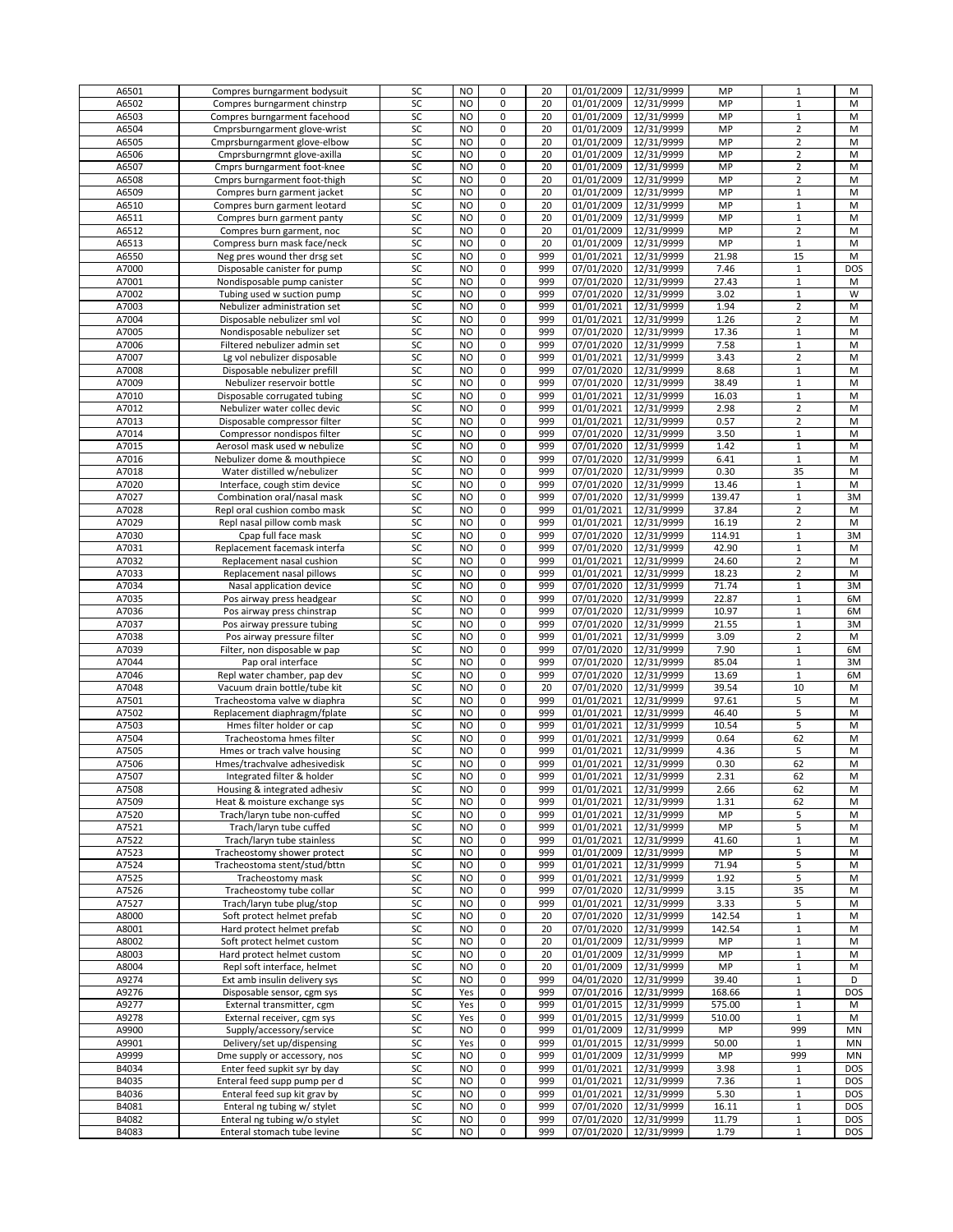| A6501 | Compres burngarment bodysuit | SC | <b>NO</b>      | 0           | 20  | 01/01/2009              | 12/31/9999            | MP     | $\mathbf{1}$   | М          |
|-------|------------------------------|----|----------------|-------------|-----|-------------------------|-----------------------|--------|----------------|------------|
| A6502 | Compres burngarment chinstrp | SC | N <sub>O</sub> | 0           | 20  | 01/01/2009              | 12/31/9999            | MP     | $\mathbf{1}$   | M          |
| A6503 | Compres burngarment facehood | SC | N <sub>O</sub> | $\mathbf 0$ | 20  | 01/01/2009              | 12/31/9999            | MP     | $\mathbf{1}$   | M          |
|       |                              |    |                |             |     |                         |                       |        |                |            |
| A6504 | Cmprsburngarment glove-wrist | SC | N <sub>O</sub> | 0           | 20  | 01/01/2009              | 12/31/9999            | MP     | $\overline{2}$ | M          |
| A6505 | Cmprsburngarment glove-elbow | SC | NO             | 0           | 20  | 01/01/2009              | 12/31/9999            | MP     | $\overline{2}$ | M          |
| A6506 | Cmprsburngrmnt glove-axilla  | SC | N <sub>O</sub> | 0           | 20  | $\overline{01}/01/2009$ | 12/31/9999            | MP     | $\overline{2}$ | M          |
| A6507 | Cmprs burngarment foot-knee  | SC | N <sub>O</sub> | 0           | 20  | 01/01/2009              | 12/31/9999            | MP     | $\overline{2}$ | M          |
|       |                              |    |                |             |     |                         |                       |        |                |            |
| A6508 | Cmprs burngarment foot-thigh | SC | <b>NO</b>      | 0           | 20  | 01/01/2009              | 12/31/9999            | MP     | $\overline{2}$ | М          |
| A6509 | Compres burn garment jacket  | SC | NO             | 0           | 20  | 01/01/2009              | 12/31/9999            | MP     | $\mathbf{1}$   | м          |
| A6510 | Compres burn garment leotard | SC | N <sub>O</sub> | 0           | 20  | 01/01/2009              | 12/31/9999            | MP     | $\mathbf 1$    | M          |
| A6511 | Compres burn garment panty   | SC | N <sub>O</sub> | 0           | 20  | 01/01/2009              | 12/31/9999            | MP     | $\mathbf{1}$   | M          |
|       |                              |    |                |             |     |                         |                       |        |                |            |
| A6512 | Compres burn garment, noc    | SC | N <sub>O</sub> | 0           | 20  | 01/01/2009              | 12/31/9999            | MP     | $\overline{2}$ | M          |
| A6513 | Compress burn mask face/neck | SC | NO             | 0           | 20  | 01/01/2009              | 12/31/9999            | MP     | $\mathbf 1$    | M          |
| A6550 | Neg pres wound ther drsg set | SC | <b>NO</b>      | 0           | 999 | 01/01/2021              | 12/31/9999            | 21.98  | 15             | M          |
| A7000 |                              | SC | <b>NO</b>      | 0           | 999 | 07/01/2020              | 12/31/9999            | 7.46   | $\mathbf{1}$   | DOS        |
|       | Disposable canister for pump |    |                |             |     |                         |                       |        |                |            |
| A7001 | Nondisposable pump canister  | SC | NO.            | 0           | 999 | 07/01/2020              | 12/31/9999            | 27.43  | $\mathbf{1}$   | м          |
| A7002 | Tubing used w suction pump   | SC | N <sub>O</sub> | 0           | 999 | 07/01/2020              | 12/31/9999            | 3.02   | $\mathbf{1}$   | W          |
| A7003 | Nebulizer administration set | SC | NO             | 0           | 999 | 01/01/2021              | 12/31/9999            | 1.94   | $\overline{2}$ | M          |
| A7004 | Disposable nebulizer sml vol | SC | NO             | 0           | 999 | 01/01/2021              | 12/31/9999            | 1.26   | $\overline{2}$ | M          |
|       |                              |    |                |             |     |                         |                       |        |                |            |
| A7005 | Nondisposable nebulizer set  | SC | NO             | 0           | 999 | 07/01/2020              | 12/31/9999            | 17.36  | $1\,$          | M          |
| A7006 | Filtered nebulizer admin set | SC | N <sub>O</sub> | 0           | 999 |                         | 07/01/2020 12/31/9999 | 7.58   | $1\,$          | M          |
| A7007 | Lg vol nebulizer disposable  | SC | N <sub>O</sub> | 0           | 999 | 01/01/2021              | 12/31/9999            | 3.43   | $\overline{2}$ | M          |
| A7008 | Disposable nebulizer prefill | SC | NO             | 0           | 999 | 07/01/2020              | 12/31/9999            | 8.68   | $\mathbf{1}$   | M          |
|       |                              |    |                |             |     |                         |                       |        |                |            |
| A7009 | Nebulizer reservoir bottle   | SC | N <sub>O</sub> | 0           | 999 | 07/01/2020              | 12/31/9999            | 38.49  | $\mathbf 1$    | M          |
| A7010 | Disposable corrugated tubing | SC | <b>NO</b>      | $\mathsf 0$ | 999 | 01/01/2021              | 12/31/9999            | 16.03  | $\mathbf{1}$   | M          |
| A7012 | Nebulizer water collec devic | SC | <b>NO</b>      | 0           | 999 | 01/01/2021              | 12/31/9999            | 2.98   | $\overline{2}$ | М          |
| A7013 | Disposable compressor filter | SC | NO             | 0           | 999 | 01/01/2021              | 12/31/9999            | 0.57   | $\overline{2}$ | М          |
|       |                              |    |                |             |     |                         |                       |        |                |            |
| A7014 | Compressor nondispos filter  | SC | N <sub>O</sub> | 0           | 999 |                         | 07/01/2020 12/31/9999 | 3.50   | $1\,$          | M          |
| A7015 | Aerosol mask used w nebulize | SC | N <sub>O</sub> | 0           | 999 | 07/01/2020              | 12/31/9999            | 1.42   | $\mathbf{1}$   | M          |
| A7016 | Nebulizer dome & mouthpiece  | SC | NO             | 0           | 999 |                         | 07/01/2020 12/31/9999 | 6.41   | $1\,$          | M          |
| A7018 | Water distilled w/nebulizer  | SC | NO             | 0           | 999 | 07/01/2020              | 12/31/9999            | 0.30   | 35             | M          |
|       |                              |    |                |             |     |                         |                       |        |                |            |
| A7020 | Interface, cough stim device | SC | <b>NO</b>      | 0           | 999 | 07/01/2020              | 12/31/9999            | 13.46  | $\mathbf{1}$   | M          |
| A7027 | Combination oral/nasal mask  | SC | <b>NO</b>      | 0           | 999 |                         | 07/01/2020 12/31/9999 | 139.47 | $\mathbf{1}$   | 3M         |
| A7028 | Repl oral cushion combo mask | SC | NO             | 0           | 999 | 01/01/2021              | 12/31/9999            | 37.84  | $\overline{2}$ | M          |
| A7029 | Repl nasal pillow comb mask  | SC | <b>NO</b>      | 0           | 999 | 01/01/2021              | 12/31/9999            | 16.19  | $\overline{2}$ | M          |
|       |                              |    |                |             |     |                         |                       |        |                |            |
| A7030 | Cpap full face mask          | SC | N <sub>O</sub> | 0           | 999 | 07/01/2020              | 12/31/9999            | 114.91 | $\mathbf{1}$   | 3M         |
| A7031 | Replacement facemask interfa | SC | N <sub>O</sub> | 0           | 999 |                         | 07/01/2020 12/31/9999 | 42.90  | $1\,$          | M          |
| A7032 | Replacement nasal cushion    | SC | NO             | 0           | 999 | 01/01/2021              | 12/31/9999            | 24.60  | $\overline{2}$ | M          |
| A7033 | Replacement nasal pillows    | SC | N <sub>O</sub> | $\mathbf 0$ | 999 | 01/01/2021              | 12/31/9999            | 18.23  | $\overline{2}$ | M          |
|       |                              |    |                |             |     |                         |                       |        |                |            |
| A7034 | Nasal application device     | SC | <b>NO</b>      | 0           | 999 |                         | 07/01/2020 12/31/9999 | 71.74  | $\mathbf{1}$   | 3M         |
| A7035 | Pos airway press headgear    | SC | NO.            | 0           | 999 |                         | 07/01/2020 12/31/9999 | 22.87  | $1\,$          | 6M         |
| A7036 | Pos airway press chinstrap   | SC | N <sub>O</sub> | 0           | 999 |                         | 07/01/2020 12/31/9999 | 10.97  | $\mathbf{1}$   | 6M         |
| A7037 | Pos airway pressure tubing   | SC | <b>NO</b>      | 0           | 999 | 07/01/2020              | 12/31/9999            | 21.55  | $\mathbf 1$    | 3M         |
|       |                              |    | NO             |             |     |                         |                       |        |                |            |
| A7038 | Pos airway pressure filter   | SC |                | 0           | 999 | 01/01/2021              | 12/31/9999            | 3.09   | $\overline{2}$ | М          |
| A7039 | Filter, non disposable w pap | SC | NO             | 0           | 999 | 07/01/2020              | 12/31/9999            | 7.90   | $1\,$          | 6M         |
| A7044 | Pap oral interface           | SC | N <sub>O</sub> | 0           | 999 |                         | 07/01/2020 12/31/9999 | 85.04  | $1\,$          | 3M         |
| A7046 | Repl water chamber, pap dev  | SC | N <sub>O</sub> | 0           | 999 | 07/01/2020              | 12/31/9999            | 13.69  | $\mathbf{1}$   | 6M         |
|       |                              |    |                |             |     |                         |                       |        |                | M          |
| A7048 | Vacuum drain bottle/tube kit | SC | NO.            | 0           | 20  | 07/01/2020              | 12/31/9999            | 39.54  | 10             |            |
| A7501 | Tracheostoma valve w diaphra | SC | N <sub>O</sub> | 0           | 999 | 01/01/2021              | 12/31/9999            | 97.61  | 5              | M          |
| A7502 | Replacement diaphragm/fplate | SC | <b>NO</b>      | $\mathsf 0$ | 999 | 01/01/2021              | 12/31/9999            | 46.40  | 5              | M          |
| A7503 | Hmes filter holder or cap    | SC | <b>NO</b>      | 0           | 999 | 01/01/2021              | 12/31/9999            | 10.54  | 5              | М          |
|       |                              |    | NO.            | 0           |     |                         |                       |        |                |            |
| A7504 | Tracheostoma hmes filter     | SC |                |             | 999 | 01/01/2021              | 12/31/9999            | 0.64   | 62             | M          |
| A7505 | Hmes or trach valve housing  | SC | <b>NO</b>      | 0           | 999 | 01/01/2021              | 12/31/9999            | 4.36   | 5              | M          |
| A7506 | Hmes/trachvalve adhesivedisk | SC | N <sub>O</sub> | 0           | 999 | 01/01/2021              | 12/31/9999            | 0.30   | 62             | M          |
| A7507 | Integrated filter & holder   | SC | NO             | 0           | 999 |                         | 01/01/2021 12/31/9999 | 2.31   | 62             | М          |
| A7508 | Housing & integrated adhesiv | SC | <b>NO</b>      | 0           | 999 | 01/01/2021              | 12/31/9999            | 2.66   | 62             | M          |
|       |                              |    |                |             |     |                         |                       |        |                |            |
| A7509 | Heat & moisture exchange sys | SC | NO             | 0           | 999 | 01/01/2021              | 12/31/9999            | 1.31   | 62             | M          |
| A7520 | Trach/laryn tube non-cuffed  | SC | NO             | 0           | 999 | 01/01/2021              | 12/31/9999            | MP     | 5              | М          |
| A7521 | Trach/laryn tube cuffed      | SC | NO.            | 0           | 999 | 01/01/2021              | 12/31/9999            | MP     | 5              | M          |
| A7522 | Trach/laryn tube stainless   | SC | N <sub>O</sub> | 0           | 999 | 01/01/2021              | 12/31/9999            | 41.60  | $\mathbf 1$    | M          |
|       | Tracheostomy shower protect  |    |                | 0           |     | 01/01/2009              | 12/31/9999            | MP     |                |            |
| A7523 |                              | SC | NO             |             | 999 |                         |                       |        | 5              | M          |
| A7524 | Tracheostoma stent/stud/bttn | SC | NO             | 0           | 999 | 01/01/2021              | 12/31/9999            | 71.94  | 5              | M          |
| A7525 | Tracheostomy mask            | SC | NO             | 0           | 999 | 01/01/2021              | 12/31/9999            | 1.92   | 5              | M          |
| A7526 | Tracheostomy tube collar     | SC | N <sub>O</sub> | 0           | 999 |                         | 07/01/2020 12/31/9999 | 3.15   | 35             | M          |
| A7527 | Trach/laryn tube plug/stop   | SC | N <sub>O</sub> | 0           | 999 | 01/01/2021              | 12/31/9999            | 3.33   | 5              | M          |
|       |                              |    |                |             |     |                         |                       |        |                |            |
| A8000 | Soft protect helmet prefab   | SC | NO             | 0           | 20  |                         | 07/01/2020 12/31/9999 | 142.54 | $1\,$          | M          |
| A8001 | Hard protect helmet prefab   | SC | <b>NO</b>      | 0           | 20  | 07/01/2020              | 12/31/9999            | 142.54 | $\mathbf 1$    | M          |
| A8002 | Soft protect helmet custom   | SC | <b>NO</b>      | 0           | 20  | 01/01/2009              | 12/31/9999            | MP     | $\mathbf 1$    | M          |
| A8003 | Hard protect helmet custom   | SC | <b>NO</b>      | 0           | 20  |                         | 01/01/2009 12/31/9999 | MP     | $\mathbf{1}$   | M          |
|       |                              |    |                |             |     |                         |                       |        |                |            |
| A8004 | Repl soft interface, helmet  | SC | NO.            | 0           | 20  | 01/01/2009              | 12/31/9999            | MP     | $\mathbf{1}$   | M          |
| A9274 | Ext amb insulin delivery sys | SC | <b>NO</b>      | 0           | 999 |                         | 04/01/2020 12/31/9999 | 39.40  | $\mathbf 1$    | D          |
| A9276 | Disposable sensor, cgm sys   | SC | Yes            | 0           | 999 |                         | 07/01/2016 12/31/9999 | 168.66 | $\mathbf{1}$   | DOS        |
| A9277 | External transmitter, cgm    | SC | Yes            | 0           | 999 |                         | 01/01/2015 12/31/9999 | 575.00 | $\mathbf{1}$   | M          |
|       |                              |    |                | 0           |     |                         |                       |        | $\mathbf 1$    |            |
| A9278 | External receiver, cgm sys   | SC | Yes            |             | 999 |                         | 01/01/2015 12/31/9999 | 510.00 |                | M          |
| A9900 | Supply/accessory/service     | SC | NO             | 0           | 999 | 01/01/2009              | 12/31/9999            | MP     | 999            | MN         |
| A9901 | Delivery/set up/dispensing   | SC | Yes            | 0           | 999 | 01/01/2015              | 12/31/9999            | 50.00  | $\mathbf{1}$   | MN         |
| A9999 | Dme supply or accessory, nos | SC | NO             | 0           | 999 |                         | 01/01/2009 12/31/9999 | MP     | 999            | MN         |
| B4034 | Enter feed supkit syr by day | SC | <b>NO</b>      | 0           | 999 | 01/01/2021              | 12/31/9999            | 3.98   | $\mathbf{1}$   | <b>DOS</b> |
|       |                              |    |                |             |     |                         |                       |        |                |            |
| B4035 | Enteral feed supp pump per d | SC | NO.            | 0           | 999 | 01/01/2021              | 12/31/9999            | 7.36   | $\mathbf 1$    | <b>DOS</b> |
| B4036 | Enteral feed sup kit grav by | SC | NO             | 0           | 999 |                         | 01/01/2021 12/31/9999 | 5.30   | $1\,$          | <b>DOS</b> |
| B4081 | Enteral ng tubing w/ stylet  | SC | N <sub>O</sub> | 0           | 999 |                         | 07/01/2020 12/31/9999 | 16.11  | $\mathbf{1}$   | <b>DOS</b> |
| B4082 | Enteral ng tubing w/o stylet | SC | NO             | 0           | 999 |                         | 07/01/2020 12/31/9999 | 11.79  | $\mathbf{1}$   | DOS        |
|       |                              | SC | <b>NO</b>      | 0           | 999 | 07/01/2020              | 12/31/9999            | 1.79   | $\mathbf{1}$   | DOS        |
| B4083 | Enteral stomach tube levine  |    |                |             |     |                         |                       |        |                |            |